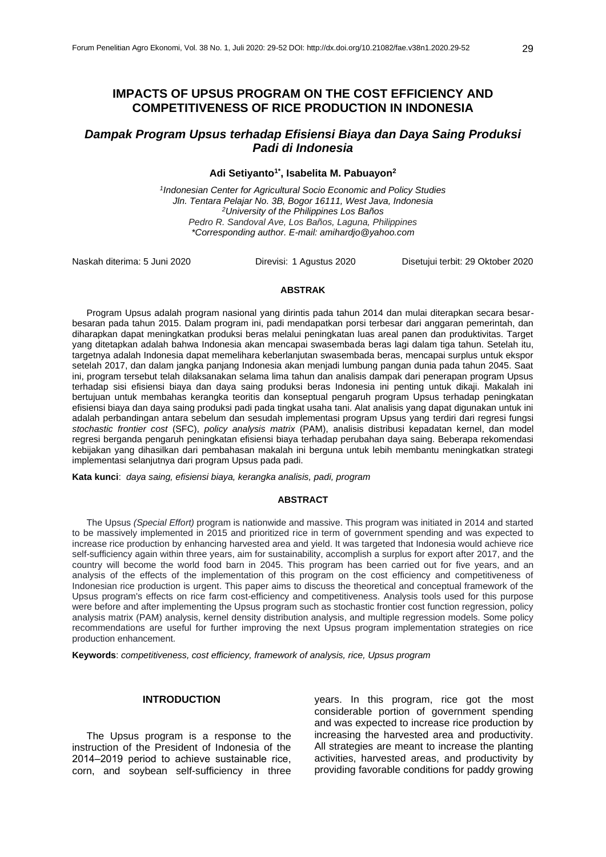# **IMPACTS OF UPSUS PROGRAM ON THE COST EFFICIENCY AND COMPETITIVENESS OF RICE PRODUCTION IN INDONESIA**

# *Dampak Program Upsus terhadap Efisiensi Biaya dan Daya Saing Produksi Padi di Indonesia*

### **Adi Setiyanto1\* , Isabelita M. Pabuayon<sup>2</sup>**

*1 Indonesian Center for Agricultural Socio Economic and Policy Studies Jln. Tentara Pelajar No. 3B, Bogor 16111, West Java, Indonesia <sup>2</sup>University of the Philippines Los Baños Pedro R. Sandoval Ave, Los Baños, Laguna, Philippines \*Corresponding author. E-mail: [amihardjo@yahoo.com](mailto:mihardjo@yahoo.com)*

Naskah diterima: 5 Juni 2020 Direvisi: 1 Agustus 2020 Disetujui terbit: 29 Oktober 2020

#### **ABSTRAK**

Program Upsus adalah program nasional yang dirintis pada tahun 2014 dan mulai diterapkan secara besarbesaran pada tahun 2015. Dalam program ini, padi mendapatkan porsi terbesar dari anggaran pemerintah, dan diharapkan dapat meningkatkan produksi beras melalui peningkatan luas areal panen dan produktivitas. Target yang ditetapkan adalah bahwa Indonesia akan mencapai swasembada beras lagi dalam tiga tahun. Setelah itu, targetnya adalah Indonesia dapat memelihara keberlanjutan swasembada beras, mencapai surplus untuk ekspor setelah 2017, dan dalam jangka panjang Indonesia akan menjadi lumbung pangan dunia pada tahun 2045. Saat ini, program tersebut telah dilaksanakan selama lima tahun dan analisis dampak dari penerapan program Upsus terhadap sisi efisiensi biaya dan daya saing produksi beras Indonesia ini penting untuk dikaji. Makalah ini bertujuan untuk membahas kerangka teoritis dan konseptual pengaruh program Upsus terhadap peningkatan efisiensi biaya dan daya saing produksi padi pada tingkat usaha tani. Alat analisis yang dapat digunakan untuk ini adalah perbandingan antara sebelum dan sesudah implementasi program Upsus yang terdiri dari regresi fungsi *stochastic frontier cost* (SFC), *policy analysis matrix* (PAM), analisis distribusi kepadatan kernel, dan model regresi berganda pengaruh peningkatan efisiensi biaya terhadap perubahan daya saing. Beberapa rekomendasi kebijakan yang dihasilkan dari pembahasan makalah ini berguna untuk lebih membantu meningkatkan strategi implementasi selanjutnya dari program Upsus pada padi.

**Kata kunci**: *daya saing, efisiensi biaya, kerangka analisis, padi, program* 

### **ABSTRACT**

The Upsus *(Special Effort)* program is nationwide and massive. This program was initiated in 2014 and started to be massively implemented in 2015 and prioritized rice in term of government spending and was expected to increase rice production by enhancing harvested area and yield. It was targeted that Indonesia would achieve rice self-sufficiency again within three years, aim for sustainability, accomplish a surplus for export after 2017, and the country will become the world food barn in 2045. This program has been carried out for five years, and an analysis of the effects of the implementation of this program on the cost efficiency and competitiveness of Indonesian rice production is urgent. This paper aims to discuss the theoretical and conceptual framework of the Upsus program's effects on rice farm cost-efficiency and competitiveness. Analysis tools used for this purpose were before and after implementing the Upsus program such as stochastic frontier cost function regression, policy analysis matrix (PAM) analysis, kernel density distribution analysis, and multiple regression models. Some policy recommendations are useful for further improving the next Upsus program implementation strategies on rice production enhancement.

**Keywords**: *competitiveness, cost efficiency, framework of analysis, rice, Upsus program*

### **INTRODUCTION**

The Upsus program is a response to the instruction of the President of Indonesia of the 2014–2019 period to achieve sustainable rice. corn, and soybean self-sufficiency in three

years. In this program, rice got the most considerable portion of government spending and was expected to increase rice production by increasing the harvested area and productivity. All strategies are meant to increase the planting activities, harvested areas, and productivity by providing favorable conditions for paddy growing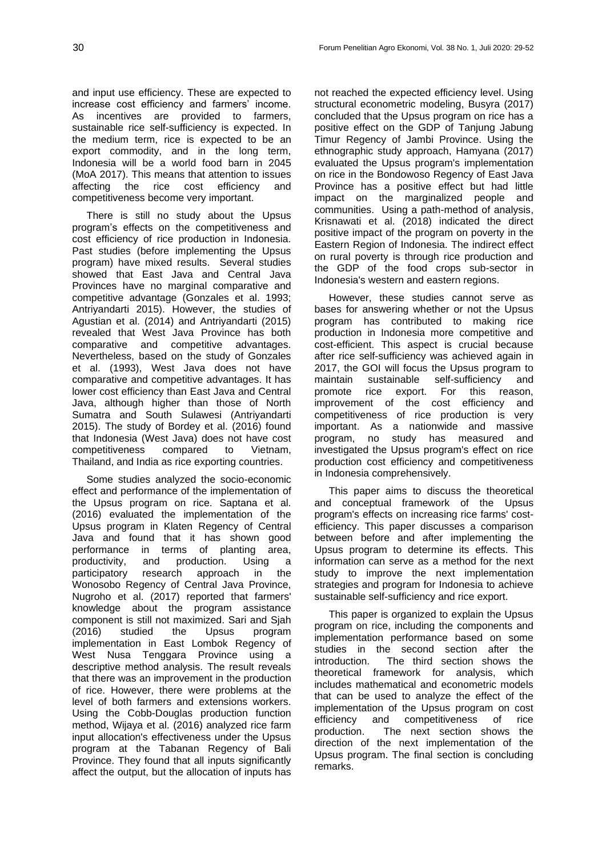and input use efficiency. These are expected to increase cost efficiency and farmers' income. As incentives are provided to farmers, sustainable rice self-sufficiency is expected. In the medium term, rice is expected to be an export commodity, and in the long term, Indonesia will be a world food barn in 2045 (MoA 2017). This means that attention to issues affecting the rice cost efficiency and competitiveness become very important.

There is still no study about the Upsus program's effects on the competitiveness and cost efficiency of rice production in Indonesia. Past studies (before implementing the Upsus program) have mixed results. Several studies showed that East Java and Central Java Provinces have no marginal comparative and competitive advantage (Gonzales et al. 1993; Antriyandarti 2015). However, the studies of Agustian et al. (2014) and Antriyandarti (2015) revealed that West Java Province has both comparative and competitive advantages. Nevertheless, based on the study of Gonzales et al. (1993), West Java does not have comparative and competitive advantages. It has lower cost efficiency than East Java and Central Java, although higher than those of North Sumatra and South Sulawesi (Antriyandarti 2015). The study of Bordey et al. (2016) found that Indonesia (West Java) does not have cost competitiveness compared to Vietnam, Thailand, and India as rice exporting countries.

Some studies analyzed the socio-economic effect and performance of the implementation of the Upsus program on rice. Saptana et al. (2016) evaluated the implementation of the Upsus program in Klaten Regency of Central Java and found that it has shown good performance in terms of planting area, productivity, and production. Using a participatory research approach in the Wonosobo Regency of Central Java Province, Nugroho et al. (2017) reported that farmers' knowledge about the program assistance component is still not maximized. Sari and Sjah (2016) studied the Upsus program implementation in East Lombok Regency of West Nusa Tenggara Province using a descriptive method analysis. The result reveals that there was an improvement in the production of rice. However, there were problems at the level of both farmers and extensions workers. Using the Cobb-Douglas production function method, Wijaya et al. (2016) analyzed rice farm input allocation's effectiveness under the Upsus program at the Tabanan Regency of Bali Province. They found that all inputs significantly affect the output, but the allocation of inputs has

not reached the expected efficiency level. Using structural econometric modeling, Busyra (2017) concluded that the Upsus program on rice has a positive effect on the GDP of Tanjung Jabung Timur Regency of Jambi Province. Using the ethnographic study approach, Hamyana (2017) evaluated the Upsus program's implementation on rice in the Bondowoso Regency of East Java Province has a positive effect but had little impact on the marginalized people and communities. Using a path-method of analysis, Krisnawati et al. (2018) indicated the direct positive impact of the program on poverty in the Eastern Region of Indonesia. The indirect effect on rural poverty is through rice production and the GDP of the food crops sub-sector in Indonesia's western and eastern regions.

However, these studies cannot serve as bases for answering whether or not the Upsus program has contributed to making rice production in Indonesia more competitive and cost-efficient. This aspect is crucial because after rice self-sufficiency was achieved again in 2017, the GOI will focus the Upsus program to maintain sustainable self-sufficiency and promote rice export. For this reason, improvement of the cost efficiency and competitiveness of rice production is very important. As a nationwide and massive program, no study has measured and investigated the Upsus program's effect on rice production cost efficiency and competitiveness in Indonesia comprehensively.

This paper aims to discuss the theoretical and conceptual framework of the Upsus program's effects on increasing rice farms' costefficiency. This paper discusses a comparison between before and after implementing the Upsus program to determine its effects. This information can serve as a method for the next study to improve the next implementation strategies and program for Indonesia to achieve sustainable self-sufficiency and rice export.

This paper is organized to explain the Upsus program on rice, including the components and implementation performance based on some studies in the second section after the introduction. The third section shows the theoretical framework for analysis, which includes mathematical and econometric models that can be used to analyze the effect of the implementation of the Upsus program on cost efficiency and competitiveness of rice production. The next section shows the direction of the next implementation of the Upsus program. The final section is concluding remarks.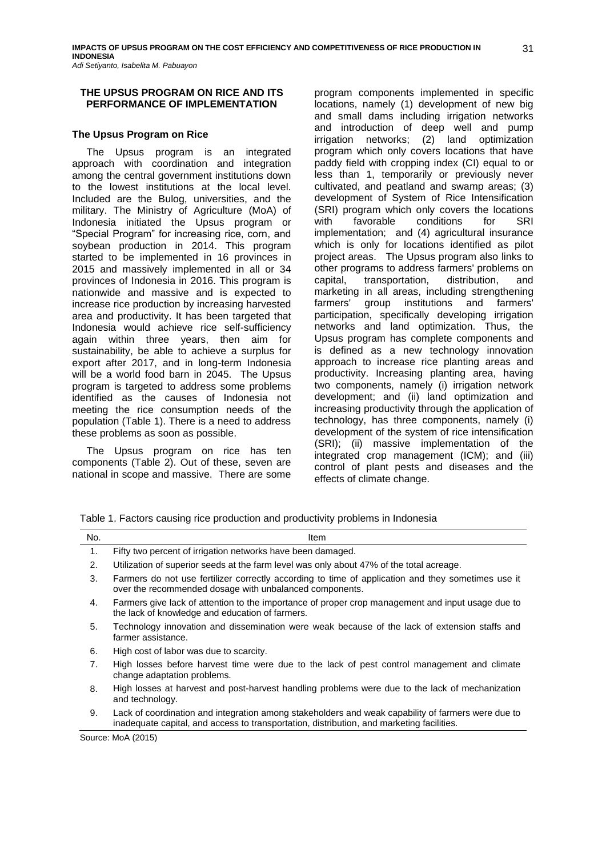### **THE UPSUS PROGRAM ON RICE AND ITS PERFORMANCE OF IMPLEMENTATION**

### **The Upsus Program on Rice**

The Upsus program is an integrated approach with coordination and integration among the central government institutions down to the lowest institutions at the local level. Included are the Bulog, universities, and the military. The Ministry of Agriculture (MoA) of Indonesia initiated the Upsus program or "Special Program" for increasing rice, corn, and soybean production in 2014. This program started to be implemented in 16 provinces in 2015 and massively implemented in all or 34 provinces of Indonesia in 2016. This program is nationwide and massive and is expected to increase rice production by increasing harvested area and productivity. It has been targeted that Indonesia would achieve rice self-sufficiency again within three years, then aim for sustainability, be able to achieve a surplus for export after 2017, and in long-term Indonesia will be a world food barn in 2045. The Upsus program is targeted to address some problems identified as the causes of Indonesia not meeting the rice consumption needs of the population (Table 1). There is a need to address these problems as soon as possible.

The Upsus program on rice has ten components (Table 2). Out of these, seven are national in scope and massive. There are some program components implemented in specific locations, namely (1) development of new big and small dams including irrigation networks and introduction of deep well and pump irrigation networks; (2) land optimization program which only covers locations that have paddy field with cropping index (CI) equal to or less than 1, temporarily or previously never cultivated, and peatland and swamp areas; (3) development of System of Rice Intensification (SRI) program which only covers the locations with favorable conditions for SRI implementation; and (4) agricultural insurance which is only for locations identified as pilot project areas. The Upsus program also links to other programs to address farmers' problems on capital, transportation, distribution, and marketing in all areas, including strengthening farmers' group institutions and farmers' participation, specifically developing irrigation networks and land optimization. Thus, the Upsus program has complete components and is defined as a new technology innovation approach to increase rice planting areas and productivity. Increasing planting area, having two components, namely (i) irrigation network development; and (ii) land optimization and increasing productivity through the application of technology, has three components, namely (i) development of the system of rice intensification (SRI); (ii) massive implementation of the integrated crop management (ICM); and (iii) control of plant pests and diseases and the effects of climate change.

Table 1. Factors causing rice production and productivity problems in Indonesia

| No. | Item                                                                                                                                                                                            |
|-----|-------------------------------------------------------------------------------------------------------------------------------------------------------------------------------------------------|
| 1.  | Fifty two percent of irrigation networks have been damaged.                                                                                                                                     |
| 2.  | Utilization of superior seeds at the farm level was only about 47% of the total acreage.                                                                                                        |
| 3.  | Farmers do not use fertilizer correctly according to time of application and they sometimes use it<br>over the recommended dosage with unbalanced components.                                   |
| 4.  | Farmers give lack of attention to the importance of proper crop management and input usage due to<br>the lack of knowledge and education of farmers.                                            |
| 5.  | Technology innovation and dissemination were weak because of the lack of extension staffs and<br>farmer assistance.                                                                             |
| 6.  | High cost of labor was due to scarcity.                                                                                                                                                         |
| 7.  | High losses before harvest time were due to the lack of pest control management and climate<br>change adaptation problems.                                                                      |
| 8.  | High losses at harvest and post-harvest handling problems were due to the lack of mechanization<br>and technology.                                                                              |
| 9.  | Lack of coordination and integration among stakeholders and weak capability of farmers were due to<br>inadequate capital, and access to transportation, distribution, and marketing facilities. |
|     | Source: MoA (2015)                                                                                                                                                                              |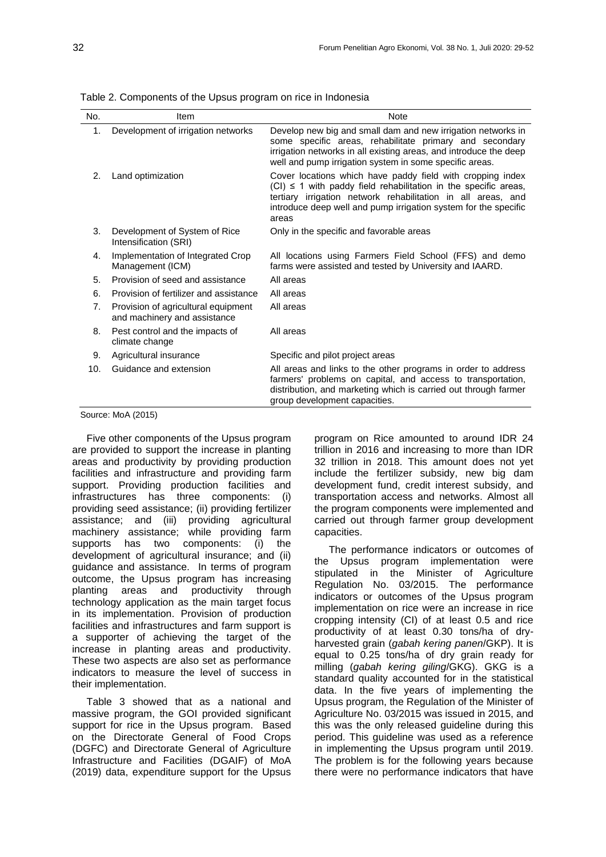| No.            | Item                                                                | <b>Note</b>                                                                                                                                                                                                                                                                    |
|----------------|---------------------------------------------------------------------|--------------------------------------------------------------------------------------------------------------------------------------------------------------------------------------------------------------------------------------------------------------------------------|
| 1.             | Development of irrigation networks                                  | Develop new big and small dam and new irrigation networks in<br>some specific areas, rehabilitate primary and secondary<br>irrigation networks in all existing areas, and introduce the deep<br>well and pump irrigation system in some specific areas.                        |
| 2 <sub>1</sub> | Land optimization                                                   | Cover locations which have paddy field with cropping index<br>$(Cl) \leq 1$ with paddy field rehabilitation in the specific areas,<br>tertiary irrigation network rehabilitation in all areas, and<br>introduce deep well and pump irrigation system for the specific<br>areas |
| 3.             | Development of System of Rice<br>Intensification (SRI)              | Only in the specific and favorable areas                                                                                                                                                                                                                                       |
| 4.             | Implementation of Integrated Crop<br>Management (ICM)               | All locations using Farmers Field School (FFS) and demo<br>farms were assisted and tested by University and IAARD.                                                                                                                                                             |
| 5.             | Provision of seed and assistance                                    | All areas                                                                                                                                                                                                                                                                      |
| 6.             | Provision of fertilizer and assistance                              | All areas                                                                                                                                                                                                                                                                      |
| 7 <sub>1</sub> | Provision of agricultural equipment<br>and machinery and assistance | All areas                                                                                                                                                                                                                                                                      |
| 8.             | Pest control and the impacts of<br>climate change                   | All areas                                                                                                                                                                                                                                                                      |
| 9.             | Agricultural insurance                                              | Specific and pilot project areas                                                                                                                                                                                                                                               |
| 10.            | Guidance and extension                                              | All areas and links to the other programs in order to address<br>farmers' problems on capital, and access to transportation,<br>distribution, and marketing which is carried out through farmer<br>group development capacities.                                               |

Table 2. Components of the Upsus program on rice in Indonesia

Source: MoA (2015)

Five other components of the Upsus program are provided to support the increase in planting areas and productivity by providing production facilities and infrastructure and providing farm support. Providing production facilities and infrastructures has three components: (i) providing seed assistance; (ii) providing fertilizer assistance; and (iii) providing agricultural machinery assistance; while providing farm supports has two components: (i) the development of agricultural insurance; and (ii) guidance and assistance. In terms of program outcome, the Upsus program has increasing planting areas and productivity through technology application as the main target focus in its implementation. Provision of production facilities and infrastructures and farm support is a supporter of achieving the target of the increase in planting areas and productivity. These two aspects are also set as performance indicators to measure the level of success in their implementation.

Table 3 showed that as a national and massive program, the GOI provided significant support for rice in the Upsus program. Based on the Directorate General of Food Crops (DGFC) and Directorate General of Agriculture Infrastructure and Facilities (DGAIF) of MoA (2019) data, expenditure support for the Upsus

program on Rice amounted to around IDR 24 trillion in 2016 and increasing to more than IDR 32 trillion in 2018. This amount does not yet include the fertilizer subsidy, new big dam development fund, credit interest subsidy, and transportation access and networks. Almost all the program components were implemented and carried out through farmer group development capacities.

The performance indicators or outcomes of the Upsus program implementation were stipulated in the Minister of Agriculture Regulation No. 03/2015. The performance indicators or outcomes of the Upsus program implementation on rice were an increase in rice cropping intensity (CI) of at least 0.5 and rice productivity of at least 0.30 tons/ha of dryharvested grain (*gabah kering panen*/GKP). It is equal to 0.25 tons/ha of dry grain ready for milling (*gabah kering giling*/GKG). GKG is a standard quality accounted for in the statistical data. In the five years of implementing the Upsus program, the Regulation of the Minister of Agriculture No. 03/2015 was issued in 2015, and this was the only released guideline during this period. This guideline was used as a reference in implementing the Upsus program until 2019. The problem is for the following years because there were no performance indicators that have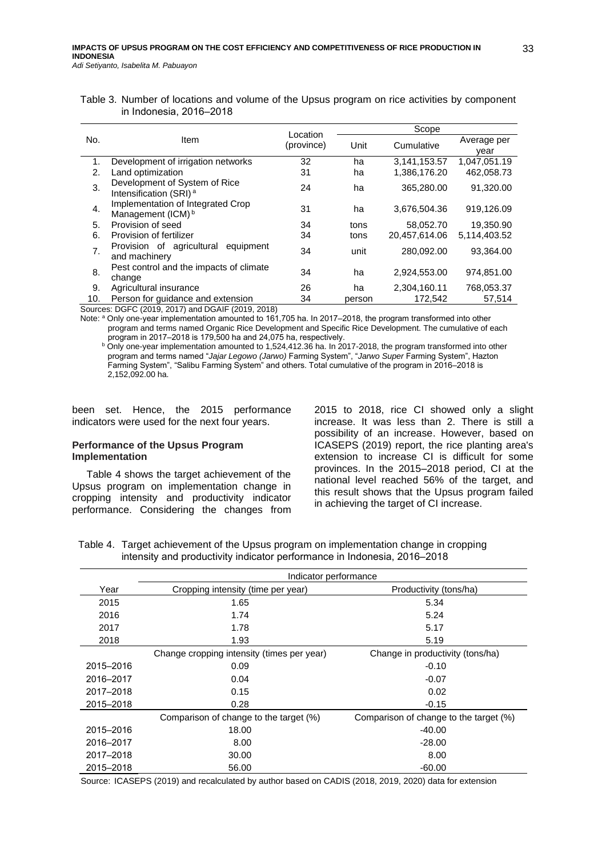| Table 3. Number of locations and volume of the Upsus program on rice activities by component |  |  |
|----------------------------------------------------------------------------------------------|--|--|
| in Indonesia, 2016–2018                                                                      |  |  |

|     |                                                                     | Location   |        | Scope         |                     |  |  |  |
|-----|---------------------------------------------------------------------|------------|--------|---------------|---------------------|--|--|--|
| No. | Item                                                                | (province) | Unit   | Cumulative    | Average per<br>vear |  |  |  |
| 1.  | Development of irrigation networks                                  | 32         | ha     | 3,141,153.57  | 1,047,051.19        |  |  |  |
| 2.  | Land optimization                                                   | 31         | ha     | 1,386,176.20  | 462,058.73          |  |  |  |
| 3.  | Development of System of Rice<br>Intensification (SRI) <sup>a</sup> | 24         | ha     | 365,280.00    | 91,320.00           |  |  |  |
| 4.  | Implementation of Integrated Crop<br>Management (ICM) <sup>b</sup>  | 31         | ha     | 3,676,504.36  | 919,126.09          |  |  |  |
| 5.  | Provision of seed                                                   | 34         | tons   | 58,052.70     | 19,350.90           |  |  |  |
| 6.  | Provision of fertilizer                                             | 34         | tons   | 20.457.614.06 | 5,114,403.52        |  |  |  |
| 7.  | Provision of agricultural equipment<br>and machinery                | 34         | unit   | 280,092.00    | 93,364.00           |  |  |  |
| 8.  | Pest control and the impacts of climate<br>change                   | 34         | ha     | 2,924,553.00  | 974.851.00          |  |  |  |
| 9.  | Agricultural insurance                                              | 26         | ha     | 2,304,160.11  | 768,053.37          |  |  |  |
| 10. | Person for quidance and extension                                   | 34         | person | 172.542       | 57.514              |  |  |  |

Sources: DGFC (2019, 2017) and DGAIF (2019, 2018)

Note: <sup>a</sup> Only one-year implementation amounted to 161,705 ha. In 2017–2018, the program transformed into other program and terms named Organic Rice Development and Specific Rice Development. The cumulative of each program in 2017‒2018 is 179,500 ha and 24,075 ha, respectively.

<sup>b</sup> Only one-year implementation amounted to 1,524,412.36 ha. In 2017-2018, the program transformed into other program and terms named "*Jajar Legowo (Jarwo)* Farming System", "*Jarwo Super* Farming System", Hazton Farming System", "Salibu Farming System" and others. Total cumulative of the program in 2016–2018 is 2,152,092.00 ha.

been set. Hence, the 2015 performance indicators were used for the next four years.

### **Performance of the Upsus Program Implementation**

Table 4 shows the target achievement of the Upsus program on implementation change in cropping intensity and productivity indicator performance. Considering the changes from 2015 to 2018, rice CI showed only a slight increase. It was less than 2. There is still a possibility of an increase. However, based on ICASEPS (2019) report, the rice planting area's extension to increase CI is difficult for some provinces. In the 2015-2018 period, CI at the national level reached 56% of the target, and this result shows that the Upsus program failed in achieving the target of CI increase.

Table 4. Target achievement of the Upsus program on implementation change in cropping intensity and productivity indicator performance in Indonesia, 2016-2018

|           | Indicator performance                      |                                        |  |  |  |  |
|-----------|--------------------------------------------|----------------------------------------|--|--|--|--|
| Year      | Cropping intensity (time per year)         | Productivity (tons/ha)                 |  |  |  |  |
| 2015      | 1.65                                       | 5.34                                   |  |  |  |  |
| 2016      | 1.74                                       | 5.24                                   |  |  |  |  |
| 2017      | 1.78                                       | 5.17                                   |  |  |  |  |
| 2018      | 1.93                                       | 5.19                                   |  |  |  |  |
|           | Change cropping intensity (times per year) | Change in productivity (tons/ha)       |  |  |  |  |
| 2015-2016 | 0.09                                       | $-0.10$                                |  |  |  |  |
| 2016-2017 | 0.04                                       | $-0.07$                                |  |  |  |  |
| 2017-2018 | 0.15                                       | 0.02                                   |  |  |  |  |
| 2015-2018 | 0.28                                       | $-0.15$                                |  |  |  |  |
|           | Comparison of change to the target (%)     | Comparison of change to the target (%) |  |  |  |  |
| 2015-2016 | 18.00                                      | $-40.00$                               |  |  |  |  |
| 2016-2017 | 8.00                                       | $-28.00$                               |  |  |  |  |
| 2017-2018 | 30.00                                      | 8.00                                   |  |  |  |  |
| 2015-2018 | 56.00                                      | $-60.00$                               |  |  |  |  |

Source: ICASEPS (2019) and recalculated by author based on CADIS (2018, 2019, 2020) data for extension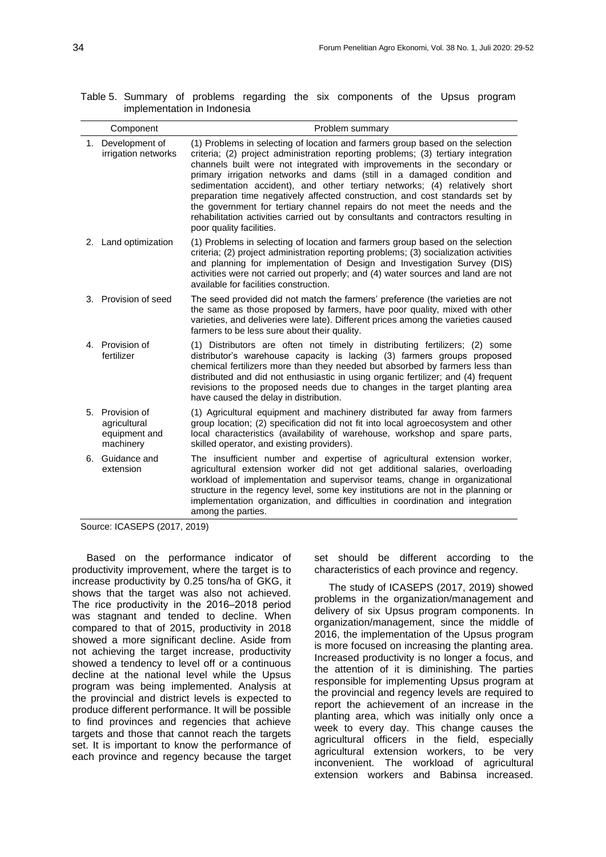|                             |  |  | Table 5. Summary of problems regarding the six components of the Upsus program |  |  |
|-----------------------------|--|--|--------------------------------------------------------------------------------|--|--|
| implementation in Indonesia |  |  |                                                                                |  |  |

|    | Component                                                  | Problem summary                                                                                                                                                                                                                                                                                                                                                                                                                                                                                                                                                                                                                                                                       |
|----|------------------------------------------------------------|---------------------------------------------------------------------------------------------------------------------------------------------------------------------------------------------------------------------------------------------------------------------------------------------------------------------------------------------------------------------------------------------------------------------------------------------------------------------------------------------------------------------------------------------------------------------------------------------------------------------------------------------------------------------------------------|
|    | 1. Development of<br>irrigation networks                   | (1) Problems in selecting of location and farmers group based on the selection<br>criteria; (2) project administration reporting problems; (3) tertiary integration<br>channels built were not integrated with improvements in the secondary or<br>primary irrigation networks and dams (still in a damaged condition and<br>sedimentation accident), and other tertiary networks; (4) relatively short<br>preparation time negatively affected construction, and cost standards set by<br>the government for tertiary channel repairs do not meet the needs and the<br>rehabilitation activities carried out by consultants and contractors resulting in<br>poor quality facilities. |
|    | 2. Land optimization                                       | (1) Problems in selecting of location and farmers group based on the selection<br>criteria; (2) project administration reporting problems; (3) socialization activities<br>and planning for implementation of Design and Investigation Survey (DIS)<br>activities were not carried out properly; and (4) water sources and land are not<br>available for facilities construction.                                                                                                                                                                                                                                                                                                     |
|    | 3. Provision of seed                                       | The seed provided did not match the farmers' preference (the varieties are not<br>the same as those proposed by farmers, have poor quality, mixed with other<br>varieties, and deliveries were late). Different prices among the varieties caused<br>farmers to be less sure about their quality.                                                                                                                                                                                                                                                                                                                                                                                     |
|    | 4. Provision of<br>fertilizer                              | (1) Distributors are often not timely in distributing fertilizers; (2) some<br>distributor's warehouse capacity is lacking (3) farmers groups proposed<br>chemical fertilizers more than they needed but absorbed by farmers less than<br>distributed and did not enthusiastic in using organic fertilizer; and (4) frequent<br>revisions to the proposed needs due to changes in the target planting area<br>have caused the delay in distribution.                                                                                                                                                                                                                                  |
| 5. | Provision of<br>agricultural<br>equipment and<br>machinery | (1) Agricultural equipment and machinery distributed far away from farmers<br>group location; (2) specification did not fit into local agroecosystem and other<br>local characteristics (availability of warehouse, workshop and spare parts,<br>skilled operator, and existing providers).                                                                                                                                                                                                                                                                                                                                                                                           |
|    | 6. Guidance and<br>extension                               | The insufficient number and expertise of agricultural extension worker,<br>agricultural extension worker did not get additional salaries, overloading<br>workload of implementation and supervisor teams, change in organizational<br>structure in the regency level, some key institutions are not in the planning or<br>implementation organization, and difficulties in coordination and integration<br>among the parties.                                                                                                                                                                                                                                                         |

Source: ICASEPS (2017, 2019)

Based on the performance indicator of productivity improvement, where the target is to increase productivity by 0.25 tons/ha of GKG, it shows that the target was also not achieved. The rice productivity in the 2016-2018 period was stagnant and tended to decline. When compared to that of 2015, productivity in 2018 showed a more significant decline. Aside from not achieving the target increase, productivity showed a tendency to level off or a continuous decline at the national level while the Upsus program was being implemented. Analysis at the provincial and district levels is expected to produce different performance. It will be possible to find provinces and regencies that achieve targets and those that cannot reach the targets set. It is important to know the performance of each province and regency because the target set should be different according to the characteristics of each province and regency.

The study of ICASEPS (2017, 2019) showed problems in the organization/management and delivery of six Upsus program components. In organization/management, since the middle of 2016, the implementation of the Upsus program is more focused on increasing the planting area. Increased productivity is no longer a focus, and the attention of it is diminishing. The parties responsible for implementing Upsus program at the provincial and regency levels are required to report the achievement of an increase in the planting area, which was initially only once a week to every day. This change causes the agricultural officers in the field, especially agricultural extension workers, to be very inconvenient. The workload of agricultural extension workers and Babinsa increased.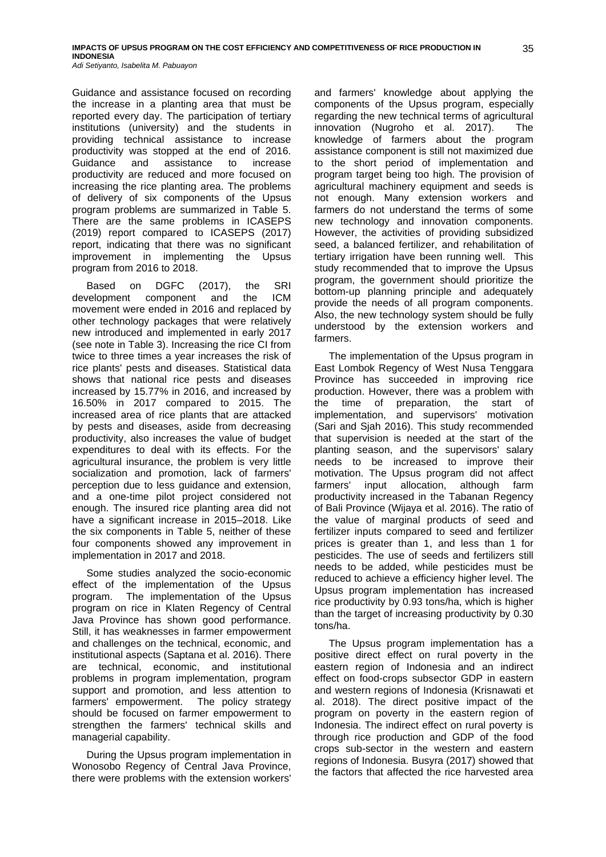Guidance and assistance focused on recording the increase in a planting area that must be reported every day. The participation of tertiary institutions (university) and the students in providing technical assistance to increase productivity was stopped at the end of 2016. Guidance and assistance to increase productivity are reduced and more focused on increasing the rice planting area. The problems of delivery of six components of the Upsus program problems are summarized in Table 5. There are the same problems in ICASEPS (2019) report compared to ICASEPS (2017) report, indicating that there was no significant improvement in implementing the Upsus program from 2016 to 2018.

Based on DGFC (2017), the SRI development component and the ICM movement were ended in 2016 and replaced by other technology packages that were relatively new introduced and implemented in early 2017 (see note in Table 3). Increasing the rice CI from twice to three times a year increases the risk of rice plants' pests and diseases. Statistical data shows that national rice pests and diseases increased by 15.77% in 2016, and increased by 16.50% in 2017 compared to 2015. The increased area of rice plants that are attacked by pests and diseases, aside from decreasing productivity, also increases the value of budget expenditures to deal with its effects. For the agricultural insurance, the problem is very little socialization and promotion, lack of farmers' perception due to less guidance and extension, and a one-time pilot project considered not enough. The insured rice planting area did not have a significant increase in 2015–2018. Like the six components in Table 5, neither of these four components showed any improvement in implementation in 2017 and 2018.

Some studies analyzed the socio-economic effect of the implementation of the Upsus program. The implementation of the Upsus program on rice in Klaten Regency of Central Java Province has shown good performance. Still, it has weaknesses in farmer empowerment and challenges on the technical, economic, and institutional aspects (Saptana et al. 2016). There are technical, economic, and institutional problems in program implementation, program support and promotion, and less attention to farmers' empowerment. The policy strategy should be focused on farmer empowerment to strengthen the farmers' technical skills and managerial capability.

During the Upsus program implementation in Wonosobo Regency of Central Java Province, there were problems with the extension workers'

and farmers' knowledge about applying the components of the Upsus program, especially regarding the new technical terms of agricultural innovation (Nugroho et al. 2017). The knowledge of farmers about the program assistance component is still not maximized due to the short period of implementation and program target being too high. The provision of agricultural machinery equipment and seeds is not enough. Many extension workers and farmers do not understand the terms of some new technology and innovation components. However, the activities of providing subsidized seed, a balanced fertilizer, and rehabilitation of tertiary irrigation have been running well. This study recommended that to improve the Upsus program, the government should prioritize the bottom-up planning principle and adequately provide the needs of all program components. Also, the new technology system should be fully understood by the extension workers and farmers.

The implementation of the Upsus program in East Lombok Regency of West Nusa Tenggara Province has succeeded in improving rice production. However, there was a problem with the time of preparation, the start of implementation, and supervisors' motivation (Sari and Sjah 2016). This study recommended that supervision is needed at the start of the planting season, and the supervisors' salary needs to be increased to improve their motivation. The Upsus program did not affect farmers' input allocation, although farm productivity increased in the Tabanan Regency of Bali Province (Wijaya et al. 2016). The ratio of the value of marginal products of seed and fertilizer inputs compared to seed and fertilizer prices is greater than 1, and less than 1 for pesticides. The use of seeds and fertilizers still needs to be added, while pesticides must be reduced to achieve a efficiency higher level. The Upsus program implementation has increased rice productivity by 0.93 tons/ha, which is higher than the target of increasing productivity by 0.30 tons/ha.

The Upsus program implementation has a positive direct effect on rural poverty in the eastern region of Indonesia and an indirect effect on food-crops subsector GDP in eastern and western regions of Indonesia (Krisnawati et al. 2018). The direct positive impact of the program on poverty in the eastern region of Indonesia. The indirect effect on rural poverty is through rice production and GDP of the food crops sub-sector in the western and eastern regions of Indonesia. Busyra (2017) showed that the factors that affected the rice harvested area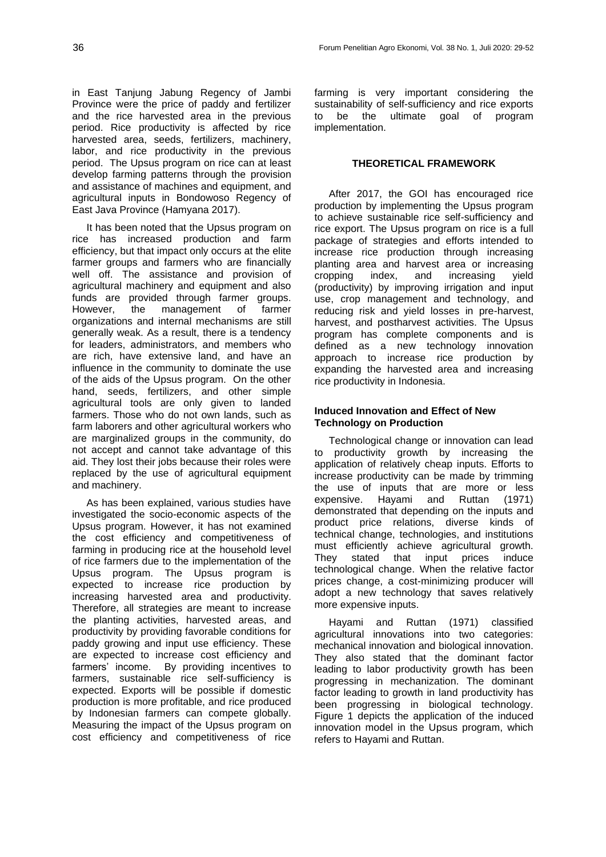in East Tanjung Jabung Regency of Jambi Province were the price of paddy and fertilizer and the rice harvested area in the previous period. Rice productivity is affected by rice harvested area, seeds, fertilizers, machinery, labor, and rice productivity in the previous period. The Upsus program on rice can at least develop farming patterns through the provision and assistance of machines and equipment, and agricultural inputs in Bondowoso Regency of East Java Province (Hamyana 2017).

It has been noted that the Upsus program on rice has increased production and farm efficiency, but that impact only occurs at the elite farmer groups and farmers who are financially well off. The assistance and provision of agricultural machinery and equipment and also funds are provided through farmer groups.<br>However, the management of farmer However, the management of organizations and internal mechanisms are still generally weak. As a result, there is a tendency for leaders, administrators, and members who are rich, have extensive land, and have an influence in the community to dominate the use of the aids of the Upsus program. On the other hand, seeds, fertilizers, and other simple agricultural tools are only given to landed farmers. Those who do not own lands, such as farm laborers and other agricultural workers who are marginalized groups in the community, do not accept and cannot take advantage of this aid. They lost their jobs because their roles were replaced by the use of agricultural equipment and machinery.

As has been explained, various studies have investigated the socio-economic aspects of the Upsus program. However, it has not examined the cost efficiency and competitiveness of farming in producing rice at the household level of rice farmers due to the implementation of the Upsus program. The Upsus program is expected to increase rice production by increasing harvested area and productivity. Therefore, all strategies are meant to increase the planting activities, harvested areas, and productivity by providing favorable conditions for paddy growing and input use efficiency. These are expected to increase cost efficiency and farmers' income. By providing incentives to farmers, sustainable rice self-sufficiency is expected. Exports will be possible if domestic production is more profitable, and rice produced by Indonesian farmers can compete globally. Measuring the impact of the Upsus program on cost efficiency and competitiveness of rice farming is very important considering the sustainability of self-sufficiency and rice exports to be the ultimate goal of program implementation.

## **THEORETICAL FRAMEWORK**

After 2017, the GOI has encouraged rice production by implementing the Upsus program to achieve sustainable rice self-sufficiency and rice export. The Upsus program on rice is a full package of strategies and efforts intended to increase rice production through increasing planting area and harvest area or increasing cropping index, and increasing yield (productivity) by improving irrigation and input use, crop management and technology, and reducing risk and yield losses in pre-harvest, harvest, and postharvest activities. The Upsus program has complete components and is defined as a new technology innovation approach to increase rice production by expanding the harvested area and increasing rice productivity in Indonesia.

## **Induced Innovation and Effect of New Technology on Production**

Technological change or innovation can lead to productivity growth by increasing the application of relatively cheap inputs. Efforts to increase productivity can be made by trimming the use of inputs that are more or less expensive. Hayami and Ruttan (1971) demonstrated that depending on the inputs and product price relations, diverse kinds of technical change, technologies, and institutions must efficiently achieve agricultural growth. They stated that input prices induce technological change. When the relative factor prices change, a cost-minimizing producer will adopt a new technology that saves relatively more expensive inputs.

Hayami and Ruttan (1971) classified agricultural innovations into two categories: mechanical innovation and biological innovation. They also stated that the dominant factor leading to labor productivity growth has been progressing in mechanization. The dominant factor leading to growth in land productivity has been progressing in biological technology. Figure 1 depicts the application of the induced innovation model in the Upsus program, which refers to Hayami and Ruttan.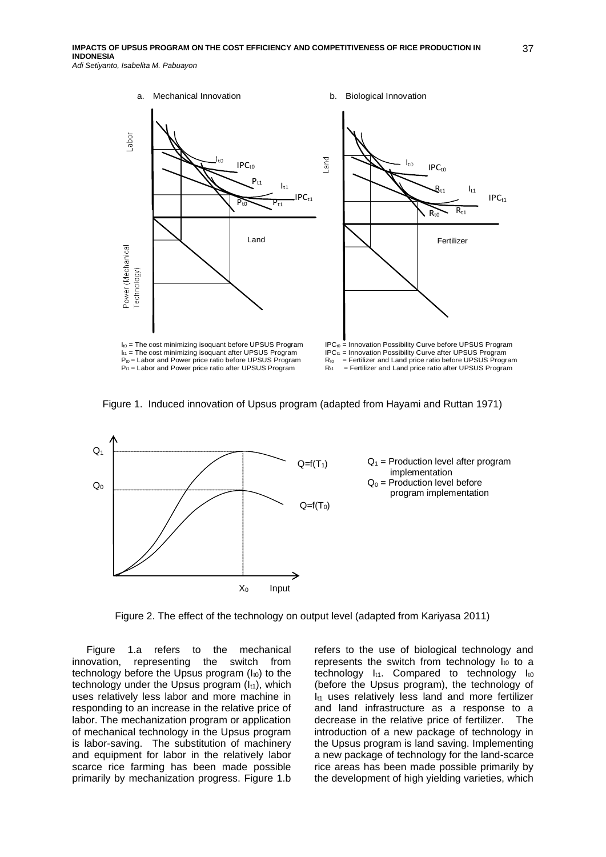





Figure 2. The effect of the technology on output level (adapted from Kariyasa 2011)

Figure 1.a refers to the mechanical innovation, representing the switch from technology before the Upsus program  $(I_{10})$  to the technology under the Upsus program  $(l_{t1})$ , which uses relatively less labor and more machine in responding to an increase in the relative price of labor. The mechanization program or application of mechanical technology in the Upsus program is labor-saving. The substitution of machinery and equipment for labor in the relatively labor scarce rice farming has been made possible primarily by mechanization progress. Figure 1.b

refers to the use of biological technology and represents the switch from technology  $I_{t0}$  to a technology  $I_{t1}$ . Compared to technology  $I_{t0}$ (before the Upsus program), the technology of  $I_{t1}$  uses relatively less land and more fertilizer and land infrastructure as a response to a decrease in the relative price of fertilizer. The introduction of a new package of technology in the Upsus program is land saving. Implementing a new package of technology for the land-scarce rice areas has been made possible primarily by the development of high yielding varieties, which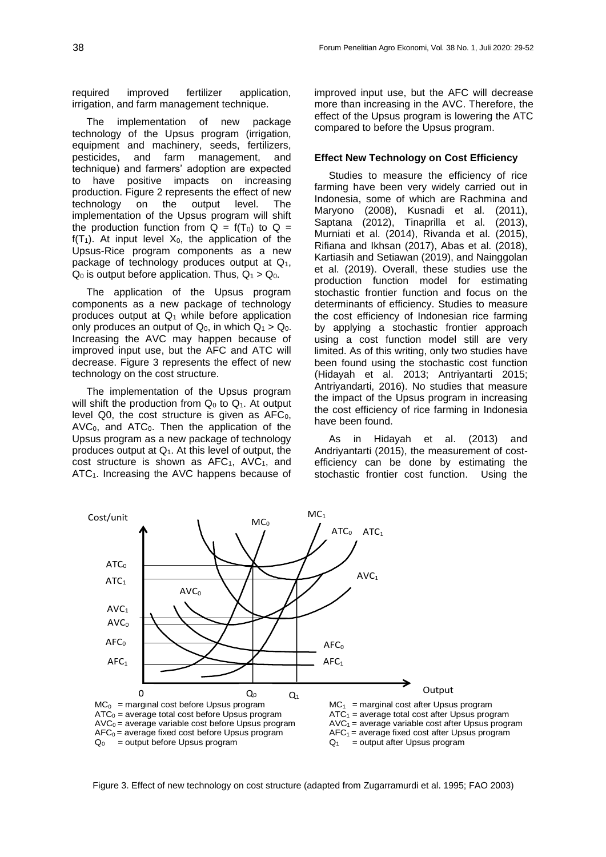required improved fertilizer application, irrigation, and farm management technique.

The implementation of new package technology of the Upsus program (irrigation, equipment and machinery, seeds, fertilizers, pesticides, and farm management, and technique) and farmers' adoption are expected to have positive impacts on increasing production. Figure 2 represents the effect of new technology on the output level. The implementation of the Upsus program will shift the production function from  $Q = f(T_0)$  to  $Q =$  $f(T_1)$ . At input level  $X_0$ , the application of the Upsus-Rice program components as a new package of technology produces output at  $Q_1$ ,  $Q_0$  is output before application. Thus,  $Q_1 > Q_0$ .

The application of the Upsus program components as a new package of technology produces output at  $Q_1$  while before application only produces an output of  $Q_0$ , in which  $Q_1 > Q_0$ . Increasing the AVC may happen because of improved input use, but the AFC and ATC will decrease. Figure 3 represents the effect of new technology on the cost structure.

The implementation of the Upsus program will shift the production from  $Q_0$  to  $Q_1$ . At output level  $Q0$ , the cost structure is given as  $AFC_0$ ,  $AVC<sub>0</sub>$ , and  $ATC<sub>0</sub>$ . Then the application of the Upsus program as a new package of technology produces output at  $Q_1$ . At this level of output, the cost structure is shown as  $AFC<sub>1</sub>$ ,  $AVC<sub>1</sub>$ , and ATC1. Increasing the AVC happens because of

improved input use, but the AFC will decrease more than increasing in the AVC. Therefore, the effect of the Upsus program is lowering the ATC compared to before the Upsus program.

#### **Effect New Technology on Cost Efficiency**

Studies to measure the efficiency of rice farming have been very widely carried out in Indonesia, some of which are Rachmina and Maryono (2008), Kusnadi et al. (2011), Saptana (2012), Tinaprilla et al. (2013), Murniati et al. (2014), Rivanda et al. (2015), Rifiana and Ikhsan (2017), Abas et al. (2018), Kartiasih and Setiawan (2019), and Nainggolan et al. (2019). Overall, these studies use the production function model for estimating stochastic frontier function and focus on the determinants of efficiency. Studies to measure the cost efficiency of Indonesian rice farming by applying a stochastic frontier approach using a cost function model still are very limited. As of this writing, only two studies have been found using the stochastic cost function (Hidayah et al. 2013; Antriyantarti 2015; Antriyandarti, 2016). No studies that measure the impact of the Upsus program in increasing the cost efficiency of rice farming in Indonesia have been found.

As in Hidayah et al. (2013) and Andriyantarti (2015), the measurement of costefficiency can be done by estimating the stochastic frontier cost function. Using the



Figure 3. Effect of new technology on cost structure (adapted from Zugarramurdi et al. 1995; FAO 2003)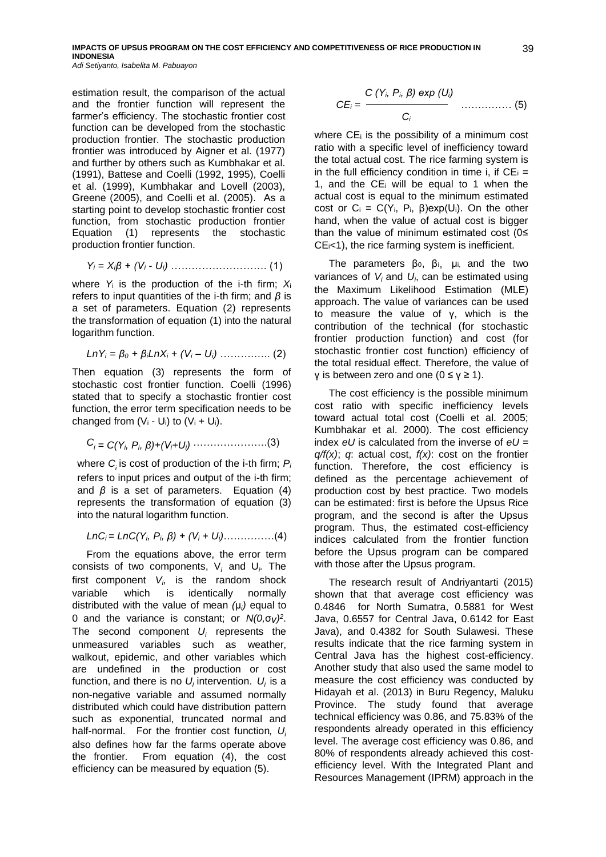**IMPACTS OF UPSUS PROGRAM ON THE COST EFFICIENCY AND COMPETITIVENESS OF RICE PRODUCTION IN INDONESIA** *Adi Setiyanto, Isabelita M. Pabuayon*

estimation result, the comparison of the actual and the frontier function will represent the farmer's efficiency. The stochastic frontier cost function can be developed from the stochastic production frontier. The stochastic production frontier was introduced by Aigner et al. (1977) and further by others such as Kumbhakar et al. (1991), Battese and Coelli (1992, 1995), Coelli et al. (1999), Kumbhakar and Lovell (2003), Greene (2005), and Coelli et al. (2005). As a starting point to develop stochastic frontier cost function, from stochastic production frontier Equation (1) represents the stochastic production frontier function.

$$
Y_i = X_i \beta + (V_i - U_i) \dots \dots \dots \dots \dots \dots \dots \dots \tag{1}
$$

where *Y*<sup>i</sup> is the production of the i-th firm; *X*<sup>i</sup> refers to input quantities of the i-th firm; and *β* is a set of parameters. Equation (2) represents the transformation of equation (1) into the natural logarithm function.

$$
Ln Y_i = \beta_0 + \beta_i Ln X_i + (V_i - U_i) \dots (2)
$$

Then equation (3) represents the form of stochastic cost frontier function. Coelli (1996) stated that to specify a stochastic frontier cost function, the error term specification needs to be changed from  $(V_i - U_i)$  to  $(V_i + U_i)$ .

$$
C_i = C(Y_i, P_i, \beta) + (V_i + U_i) \cdots \cdots \cdots \cdots \cdots (3)
$$

where *C<sup>i</sup>* is cost of production of the i-th firm; *P<sup>i</sup>* refers to input prices and output of the i-th firm; and *β* is a set of parameters. Equation (4) represents the transformation of equation (3) into the natural logarithm function.

$$
LnC_i = LnC(Y_i, P_i, \beta) + (V_i + U_i)
$$
 (4)

From the equations above, the error term consists of two components, V*<sup>i</sup>* and U*<sup>i</sup> .* The first component *V<sup>i</sup> ,* is the random shock variable which is identically normally distributed with the value of mean *(*μ*<sup>i</sup> )* equal to 0 and the variance is constant; or *N(0,*σ*v) 2* . The second component *U<sup>i</sup>* represents the unmeasured variables such as weather, walkout, epidemic, and other variables which are undefined in the production or cost function, and there is no  $U_i$  intervention.  $U_i$  is a non-negative variable and assumed normally distributed which could have distribution pattern such as exponential, truncated normal and half-normal. For the frontier cost function*, U<sup>i</sup>* also defines how far the farms operate above the frontier. From equation (4), the cost efficiency can be measured by equation (5).

$$
CE_i = \frac{C(Y_i, P_i, \beta) \exp(U_i)}{C_i} \quad ....... (5)
$$

where  $CE_i$  is the possibility of a minimum cost ratio with a specific level of inefficiency toward the total actual cost. The rice farming system is in the full efficiency condition in time i, if  $CE_i =$ 1, and the  $CE_i$  will be equal to 1 when the actual cost is equal to the minimum estimated cost or  $C_i = C(Y_i, P_i, \beta)exp(U_i)$ . On the other hand, when the value of actual cost is bigger than the value of minimum estimated cost (0≤  $CE_{i}$ <1), the rice farming system is inefficient.

The parameters  $\beta_0$ ,  $\beta_i$ ,  $\mu_i$ , and the two variances of *V<sup>i</sup>* and *U<sup>i</sup>* , can be estimated using the Maximum Likelihood Estimation (MLE) approach. The value of variances can be used to measure the value of γ, which is the contribution of the technical (for stochastic frontier production function) and cost (for stochastic frontier cost function) efficiency of the total residual effect. Therefore, the value of γ is between zero and one (0 ≤ γ ≥ 1).

The cost efficiency is the possible minimum cost ratio with specific inefficiency levels toward actual total cost (Coelli et al. 2005; Kumbhakar et al. 2000). The cost efficiency index *eU* is calculated from the inverse of *eU* = *q/f(x)*; *q*: actual cost, *f(x)*: cost on the frontier function. Therefore, the cost efficiency is defined as the percentage achievement of production cost by best practice. Two models can be estimated: first is before the Upsus Rice program, and the second is after the Upsus program. Thus, the estimated cost-efficiency indices calculated from the frontier function before the Upsus program can be compared with those after the Upsus program.

The research result of Andriyantarti (2015) shown that that average cost efficiency was 0.4846 for North Sumatra, 0.5881 for West Java, 0.6557 for Central Java, 0.6142 for East Java), and 0.4382 for South Sulawesi. These results indicate that the rice farming system in Central Java has the highest cost-efficiency. Another study that also used the same model to measure the cost efficiency was conducted by Hidayah et al. (2013) in Buru Regency, Maluku Province. The study found that average technical efficiency was 0.86, and 75.83% of the respondents already operated in this efficiency level. The average cost efficiency was 0.86, and 80% of respondents already achieved this costefficiency level. With the Integrated Plant and Resources Management (IPRM) approach in the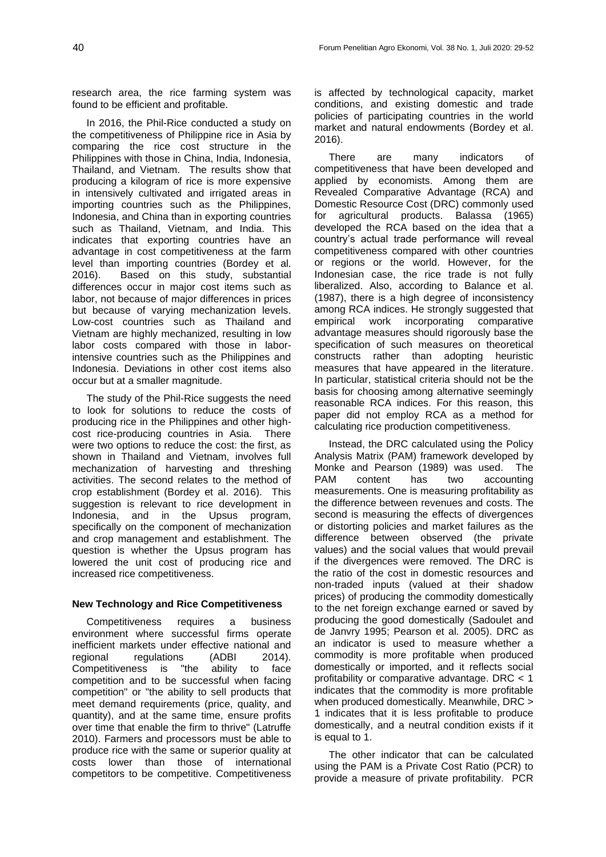research area, the rice farming system was found to be efficient and profitable.

In 2016, the Phil-Rice conducted a study on the competitiveness of Philippine rice in Asia by comparing the rice cost structure in the Philippines with those in China, India, Indonesia, Thailand, and Vietnam. The results show that producing a kilogram of rice is more expensive in intensively cultivated and irrigated areas in importing countries such as the Philippines, Indonesia, and China than in exporting countries such as Thailand, Vietnam, and India. This indicates that exporting countries have an advantage in cost competitiveness at the farm level than importing countries (Bordey et al. 2016). Based on this study, substantial differences occur in major cost items such as labor, not because of major differences in prices but because of varying mechanization levels. Low-cost countries such as Thailand and Vietnam are highly mechanized, resulting in low labor costs compared with those in laborintensive countries such as the Philippines and Indonesia. Deviations in other cost items also occur but at a smaller magnitude.

The study of the Phil-Rice suggests the need to look for solutions to reduce the costs of producing rice in the Philippines and other highcost rice-producing countries in Asia. There were two options to reduce the cost: the first, as shown in Thailand and Vietnam, involves full mechanization of harvesting and threshing activities. The second relates to the method of crop establishment (Bordey et al. 2016). This suggestion is relevant to rice development in Indonesia, and in the Upsus program, specifically on the component of mechanization and crop management and establishment. The question is whether the Upsus program has lowered the unit cost of producing rice and increased rice competitiveness.

## **New Technology and Rice Competitiveness**

Competitiveness requires a business environment where successful firms operate inefficient markets under effective national and regional regulations (ADBI 2014). Competitiveness is "the ability to face competition and to be successful when facing competition" or "the ability to sell products that meet demand requirements (price, quality, and quantity), and at the same time, ensure profits over time that enable the firm to thrive" (Latruffe 2010). Farmers and processors must be able to produce rice with the same or superior quality at costs lower than those of international competitors to be competitive. Competitiveness is affected by technological capacity, market conditions, and existing domestic and trade policies of participating countries in the world market and natural endowments (Bordey et al. 2016).

There are many indicators of competitiveness that have been developed and applied by economists. Among them are Revealed Comparative Advantage (RCA) and Domestic Resource Cost (DRC) commonly used for agricultural products. Balassa (1965) developed the RCA based on the idea that a country's actual trade performance will reveal competitiveness compared with other countries or regions or the world. However, for the Indonesian case, the rice trade is not fully liberalized. Also, according to Balance et al. (1987), there is a high degree of inconsistency among RCA indices. He strongly suggested that empirical work incorporating comparative advantage measures should rigorously base the specification of such measures on theoretical constructs rather than adopting heuristic measures that have appeared in the literature. In particular, statistical criteria should not be the basis for choosing among alternative seemingly reasonable RCA indices. For this reason, this paper did not employ RCA as a method for calculating rice production competitiveness.

Instead, the DRC calculated using the Policy Analysis Matrix (PAM) framework developed by Monke and Pearson (1989) was used. The PAM content has two accounting measurements. One is measuring profitability as the difference between revenues and costs. The second is measuring the effects of divergences or distorting policies and market failures as the difference between observed (the private values) and the social values that would prevail if the divergences were removed. The DRC is the ratio of the cost in domestic resources and non-traded inputs (valued at their shadow prices) of producing the commodity domestically to the net foreign exchange earned or saved by producing the good domestically (Sadoulet and de Janvry 1995; Pearson et al. 2005). DRC as an indicator is used to measure whether a commodity is more profitable when produced domestically or imported, and it reflects social profitability or comparative advantage. DRC < 1 indicates that the commodity is more profitable when produced domestically. Meanwhile, DRC > 1 indicates that it is less profitable to produce domestically, and a neutral condition exists if it is equal to 1.

The other indicator that can be calculated using the PAM is a Private Cost Ratio (PCR) to provide a measure of private profitability. PCR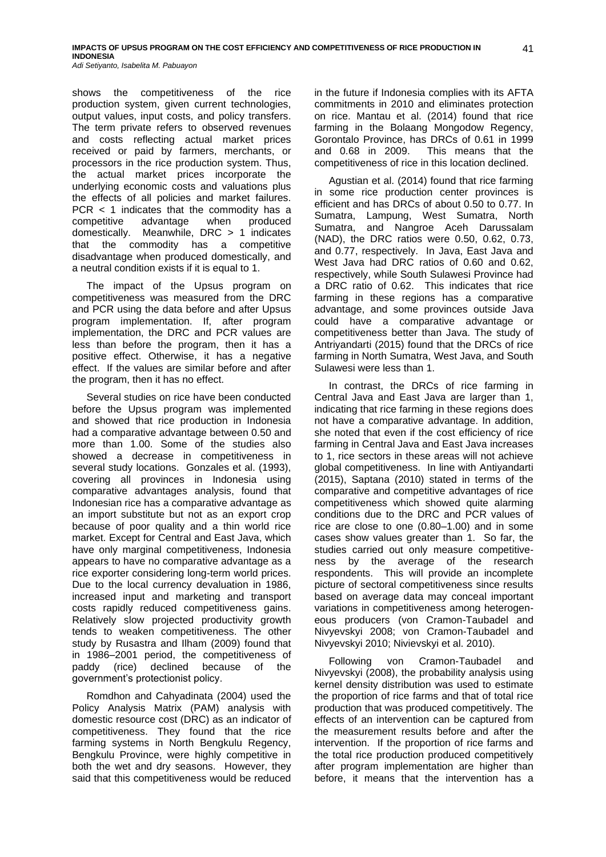shows the competitiveness of the rice production system, given current technologies, output values, input costs, and policy transfers. The term private refers to observed revenues and costs reflecting actual market prices received or paid by farmers, merchants, or processors in the rice production system. Thus, the actual market prices incorporate the underlying economic costs and valuations plus the effects of all policies and market failures. PCR < 1 indicates that the commodity has a competitive advantage when produced domestically. Meanwhile, DRC > 1 indicates that the commodity has a competitive disadvantage when produced domestically, and a neutral condition exists if it is equal to 1.

The impact of the Upsus program on competitiveness was measured from the DRC and PCR using the data before and after Upsus program implementation. If, after program implementation, the DRC and PCR values are less than before the program, then it has a positive effect. Otherwise, it has a negative effect. If the values are similar before and after the program, then it has no effect.

Several studies on rice have been conducted before the Upsus program was implemented and showed that rice production in Indonesia had a comparative advantage between 0.50 and more than 1.00. Some of the studies also showed a decrease in competitiveness in several study locations. Gonzales et al. (1993), covering all provinces in Indonesia using comparative advantages analysis, found that Indonesian rice has a comparative advantage as an import substitute but not as an export crop because of poor quality and a thin world rice market. Except for Central and East Java, which have only marginal competitiveness, Indonesia appears to have no comparative advantage as a rice exporter considering long-term world prices. Due to the local currency devaluation in 1986, increased input and marketing and transport costs rapidly reduced competitiveness gains. Relatively slow projected productivity growth tends to weaken competitiveness. The other study by Rusastra and Ilham (2009) found that in 1986-2001 period, the competitiveness of paddy (rice) declined because of the government's protectionist policy.

Romdhon and Cahyadinata (2004) used the Policy Analysis Matrix (PAM) analysis with domestic resource cost (DRC) as an indicator of competitiveness. They found that the rice farming systems in North Bengkulu Regency, Bengkulu Province, were highly competitive in both the wet and dry seasons. However, they said that this competitiveness would be reduced in the future if Indonesia complies with its AFTA commitments in 2010 and eliminates protection on rice. Mantau et al. (2014) found that rice farming in the Bolaang Mongodow Regency, Gorontalo Province, has DRCs of 0.61 in 1999 and 0.68 in 2009. This means that the competitiveness of rice in this location declined.

Agustian et al. (2014) found that rice farming in some rice production center provinces is efficient and has DRCs of about 0.50 to 0.77. In Sumatra, Lampung, West Sumatra, North Sumatra, and Nangroe Aceh Darussalam (NAD), the DRC ratios were 0.50, 0.62, 0.73, and 0.77, respectively. In Java, East Java and West Java had DRC ratios of 0.60 and 0.62, respectively, while South Sulawesi Province had a DRC ratio of 0.62. This indicates that rice farming in these regions has a comparative advantage, and some provinces outside Java could have a comparative advantage or competitiveness better than Java. The study of Antriyandarti (2015) found that the DRCs of rice farming in North Sumatra, West Java, and South Sulawesi were less than 1.

In contrast, the DRCs of rice farming in Central Java and East Java are larger than 1, indicating that rice farming in these regions does not have a comparative advantage. In addition, she noted that even if the cost efficiency of rice farming in Central Java and East Java increases to 1, rice sectors in these areas will not achieve global competitiveness. In line with Antiyandarti (2015), Saptana (2010) stated in terms of the comparative and competitive advantages of rice competitiveness which showed quite alarming conditions due to the DRC and PCR values of rice are close to one (0.80-1.00) and in some cases show values greater than 1. So far, the studies carried out only measure competitiveness by the average of the research respondents. This will provide an incomplete picture of sectoral competitiveness since results based on average data may conceal important variations in competitiveness among heterogeneous producers (von Cramon-Taubadel and Nivyevskyi 2008; von Cramon-Taubadel and Nivyevskyi 2010; Nivievskyi et al. 2010).

Following von Cramon-Taubadel and Nivyevskyi (2008), the probability analysis using kernel density distribution was used to estimate the proportion of rice farms and that of total rice production that was produced competitively. The effects of an intervention can be captured from the measurement results before and after the intervention. If the proportion of rice farms and the total rice production produced competitively after program implementation are higher than before, it means that the intervention has a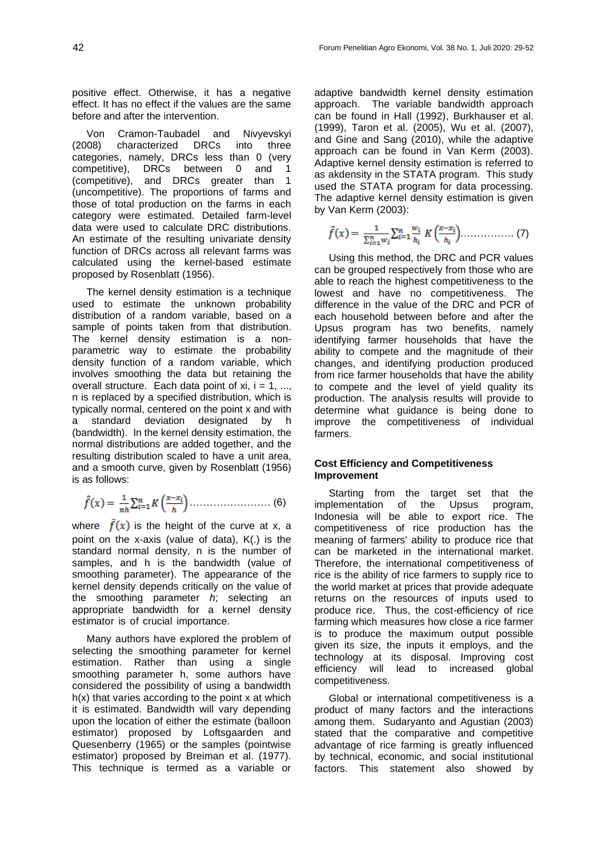positive effect. Otherwise, it has a negative effect. It has no effect if the values are the same before and after the intervention.

Von Cramon-Taubadel and Nivyevskyi (2008) characterized DRCs into three categories, namely, DRCs less than 0 (very competitive), DRCs between 0 and 1 (competitive), and DRCs greater than 1 (uncompetitive). The proportions of farms and those of total production on the farms in each category were estimated. Detailed farm-level data were used to calculate DRC distributions. An estimate of the resulting univariate density function of DRCs across all relevant farms was calculated using the kernel-based estimate proposed by Rosenblatt (1956).

The kernel density estimation is a technique used to estimate the unknown probability distribution of a random variable, based on a sample of points taken from that distribution. The kernel density estimation is a nonparametric way to estimate the probability density function of a random variable, which involves smoothing the data but retaining the overall structure. Each data point of xi,  $i = 1, \ldots$ , n is replaced by a specified distribution, which is typically normal, centered on the point x and with a standard deviation designated by h (bandwidth). In the kernel density estimation, the normal distributions are added together, and the resulting distribution scaled to have a unit area, and a smooth curve, given by Rosenblatt (1956) is as follows:

$$
\hat{f}(x) = \frac{1}{nh} \sum_{i=1}^{n} K\left(\frac{x - x_i}{h}\right) \dots \dots \dots \dots \dots \dots \dots \tag{6}
$$

where  $f(x)$  is the height of the curve at x, a point on the x-axis (value of data), K(.) is the standard normal density, n is the number of samples, and h is the bandwidth (value of smoothing parameter). The appearance of the kernel density depends critically on the value of the smoothing parameter *h*; selecting an appropriate bandwidth for a kernel density estimator is of crucial importance.

Many authors have explored the problem of selecting the smoothing parameter for kernel estimation. Rather than using a single smoothing parameter h, some authors have considered the possibility of using a bandwidth  $h(x)$  that varies according to the point x at which it is estimated. Bandwidth will vary depending upon the location of either the estimate (balloon estimator) proposed by Loftsgaarden and Quesenberry (1965) or the samples (pointwise estimator) proposed by Breiman et al. (1977). This technique is termed as a variable or adaptive bandwidth kernel density estimation approach. The variable bandwidth approach can be found in Hall (1992), Burkhauser et al. (1999), Taron et al. (2005), Wu et al. (2007), and Gine and Sang (2010), while the adaptive approach can be found in Van Kerm (2003). Adaptive kernel density estimation is referred to as akdensity in the STATA program. This study used the STATA program for data processing. The adaptive kernel density estimation is given by Van Kerm (2003):

$$
\hat{f}(x) = \frac{1}{\sum_{i=1}^{n} w_i} \sum_{i=1}^{n} \frac{w_i}{h_i} K\left(\frac{x - x_i}{h_i}\right) \dots \dots \dots \dots \dots \tag{7}
$$

Using this method, the DRC and PCR values can be grouped respectively from those who are able to reach the highest competitiveness to the lowest and have no competitiveness. The difference in the value of the DRC and PCR of each household between before and after the Upsus program has two benefits, namely identifying farmer households that have the ability to compete and the magnitude of their changes, and identifying production produced from rice farmer households that have the ability to compete and the level of yield quality its production. The analysis results will provide to determine what guidance is being done to improve the competitiveness of individual farmers.

### **Cost Efficiency and Competitiveness Improvement**

Starting from the target set that the implementation of the Upsus program, Indonesia will be able to export rice. The competitiveness of rice production has the meaning of farmers' ability to produce rice that can be marketed in the international market. Therefore, the international competitiveness of rice is the ability of rice farmers to supply rice to the world market at prices that provide adequate returns on the resources of inputs used to produce rice. Thus, the cost-efficiency of rice farming which measures how close a rice farmer is to produce the maximum output possible given its size, the inputs it employs, and the technology at its disposal. Improving cost efficiency will lead to increased global competitiveness.

Global or international competitiveness is a product of many factors and the interactions among them. Sudaryanto and Agustian (2003) stated that the comparative and competitive advantage of rice farming is greatly influenced by technical, economic, and social institutional factors. This statement also showed by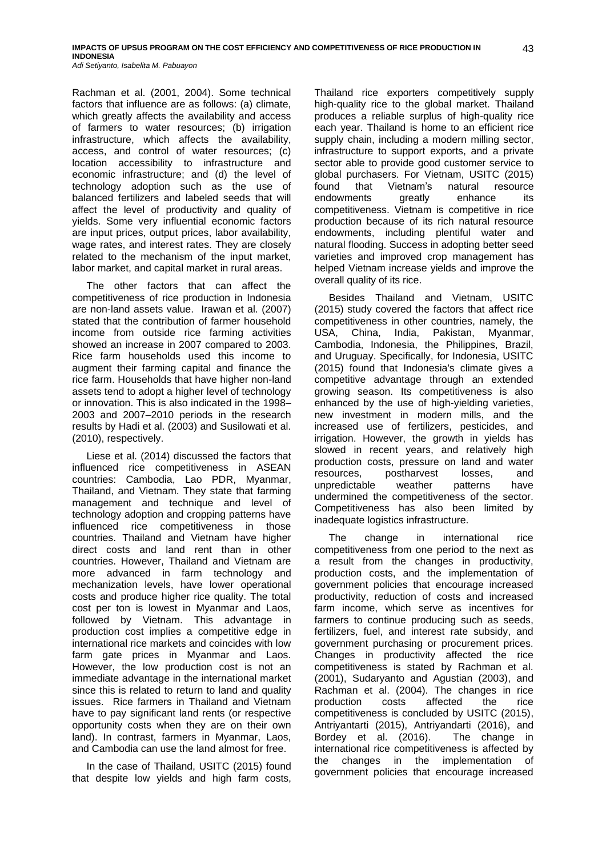Rachman et al. (2001, 2004). Some technical factors that influence are as follows: (a) climate, which greatly affects the availability and access of farmers to water resources; (b) irrigation infrastructure, which affects the availability, access, and control of water resources; (c) location accessibility to infrastructure and economic infrastructure; and (d) the level of technology adoption such as the use of balanced fertilizers and labeled seeds that will affect the level of productivity and quality of yields. Some very influential economic factors are input prices, output prices, labor availability, wage rates, and interest rates. They are closely related to the mechanism of the input market, labor market, and capital market in rural areas.

The other factors that can affect the competitiveness of rice production in Indonesia are non-land assets value. Irawan et al. (2007) stated that the contribution of farmer household income from outside rice farming activities showed an increase in 2007 compared to 2003. Rice farm households used this income to augment their farming capital and finance the rice farm. Households that have higher non-land assets tend to adopt a higher level of technology or innovation. This is also indicated in the 1998– 2003 and 2007-2010 periods in the research results by Hadi et al. (2003) and Susilowati et al. (2010), respectively.

Liese et al. (2014) discussed the factors that influenced rice competitiveness in ASEAN countries: Cambodia, Lao PDR, Myanmar, Thailand, and Vietnam. They state that farming management and technique and level of technology adoption and cropping patterns have influenced rice competitiveness in those countries. Thailand and Vietnam have higher direct costs and land rent than in other countries. However, Thailand and Vietnam are more advanced in farm technology and mechanization levels, have lower operational costs and produce higher rice quality. The total cost per ton is lowest in Myanmar and Laos, followed by Vietnam. This advantage in production cost implies a competitive edge in international rice markets and coincides with low farm gate prices in Myanmar and Laos. However, the low production cost is not an immediate advantage in the international market since this is related to return to land and quality issues. Rice farmers in Thailand and Vietnam have to pay significant land rents (or respective opportunity costs when they are on their own land). In contrast, farmers in Myanmar, Laos, and Cambodia can use the land almost for free.

In the case of Thailand, USITC (2015) found that despite low yields and high farm costs,

Thailand rice exporters competitively supply high-quality rice to the global market. Thailand produces a reliable surplus of high-quality rice each year. Thailand is home to an efficient rice supply chain, including a modern milling sector, infrastructure to support exports, and a private sector able to provide good customer service to global purchasers. For Vietnam, USITC (2015) found that Vietnam's natural resource endowments greatly enhance its competitiveness. Vietnam is competitive in rice production because of its rich natural resource endowments, including plentiful water and natural flooding. Success in adopting better seed varieties and improved crop management has helped Vietnam increase yields and improve the overall quality of its rice.

Besides Thailand and Vietnam, USITC (2015) study covered the factors that affect rice competitiveness in other countries, namely, the USA, China, India, Pakistan, Myanmar, Cambodia, Indonesia, the Philippines, Brazil, and Uruguay. Specifically, for Indonesia, USITC (2015) found that Indonesia's climate gives a competitive advantage through an extended growing season. Its competitiveness is also enhanced by the use of high-yielding varieties, new investment in modern mills, and the increased use of fertilizers, pesticides, and irrigation. However, the growth in yields has slowed in recent years, and relatively high production costs, pressure on land and water resources, postharvest losses, and unpredictable weather patterns have undermined the competitiveness of the sector. Competitiveness has also been limited by inadequate logistics infrastructure.

The change in international rice competitiveness from one period to the next as a result from the changes in productivity, production costs, and the implementation of government policies that encourage increased productivity, reduction of costs and increased farm income, which serve as incentives for farmers to continue producing such as seeds. fertilizers, fuel, and interest rate subsidy, and government purchasing or procurement prices. Changes in productivity affected the rice competitiveness is stated by Rachman et al. (2001), Sudaryanto and Agustian (2003), and Rachman et al. (2004). The changes in rice production costs affected the rice competitiveness is concluded by USITC (2015), Antriyantarti (2015), Antriyandarti (2016), and Bordey et al. (2016). The change in international rice competitiveness is affected by the changes in the implementation of government policies that encourage increased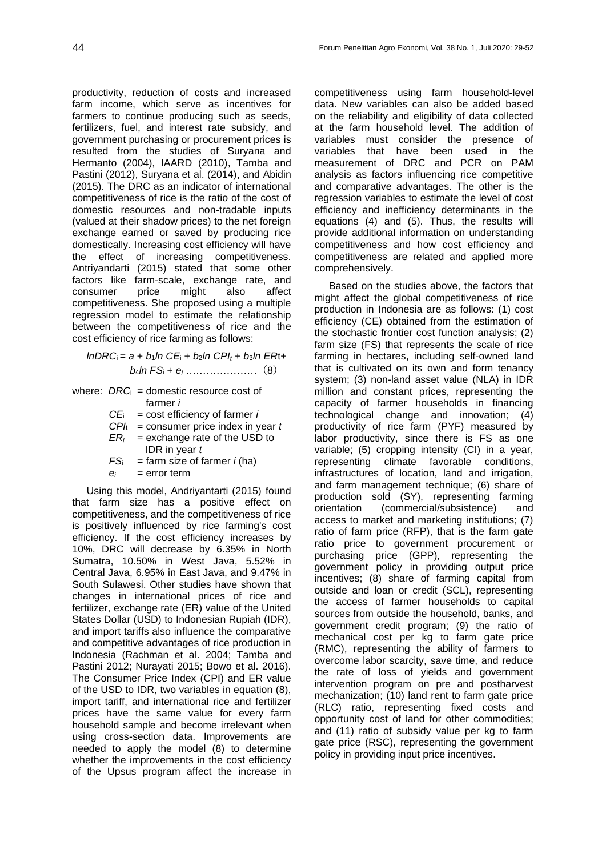productivity, reduction of costs and increased farm income, which serve as incentives for farmers to continue producing such as seeds, fertilizers, fuel, and interest rate subsidy, and government purchasing or procurement prices is resulted from the studies of Suryana and Hermanto (2004), IAARD (2010), Tamba and Pastini (2012), Suryana et al. (2014), and Abidin (2015). The DRC as an indicator of international competitiveness of rice is the ratio of the cost of domestic resources and non-tradable inputs (valued at their shadow prices) to the net foreign exchange earned or saved by producing rice domestically. Increasing cost efficiency will have the effect of increasing competitiveness. Antriyandarti (2015) stated that some other factors like farm-scale, exchange rate, and consumer price might also affect competitiveness. She proposed using a multiple regression model to estimate the relationship between the competitiveness of rice and the cost efficiency of rice farming as follows:

$$
InDRC_i = a + b_1 ln CE_i + b_2 ln CPI_t + b_3 ln ERt + b_4 ln FS_i + e_i
$$
 (8)

where: *DRC*<sub>i</sub> = domestic resource cost of farmer *i*

- *CE*i = cost efficiency of farmer *i*
- $CPI<sub>t</sub>$  = consumer price index in year  $t$
- $ER<sub>t</sub>$  = exchange rate of the USD to IDR in year *t*
- $FS_i$  = farm size of farmer *i* (ha)  $e_i =$  error term

Using this model, Andriyantarti (2015) found that farm size has a positive effect on competitiveness, and the competitiveness of rice is positively influenced by rice farming's cost efficiency. If the cost efficiency increases by 10%, DRC will decrease by 6.35% in North Sumatra, 10.50% in West Java, 5.52% in Central Java, 6.95% in East Java, and 9.47% in South Sulawesi. Other studies have shown that changes in international prices of rice and fertilizer, exchange rate (ER) value of the United States Dollar (USD) to Indonesian Rupiah (IDR), and import tariffs also influence the comparative and competitive advantages of rice production in Indonesia (Rachman et al. 2004; Tamba and Pastini 2012; Nurayati 2015; Bowo et al. 2016). The Consumer Price Index (CPI) and ER value of the USD to IDR, two variables in equation (8), import tariff, and international rice and fertilizer prices have the same value for every farm household sample and become irrelevant when using cross-section data. Improvements are needed to apply the model (8) to determine whether the improvements in the cost efficiency of the Upsus program affect the increase in

competitiveness using farm household-level data. New variables can also be added based on the reliability and eligibility of data collected at the farm household level. The addition of variables must consider the presence of variables that have been used in the measurement of DRC and PCR on PAM analysis as factors influencing rice competitive and comparative advantages. The other is the regression variables to estimate the level of cost efficiency and inefficiency determinants in the equations (4) and (5). Thus, the results will provide additional information on understanding competitiveness and how cost efficiency and competitiveness are related and applied more comprehensively.

Based on the studies above, the factors that might affect the global competitiveness of rice production in Indonesia are as follows: (1) cost efficiency (CE) obtained from the estimation of the stochastic frontier cost function analysis; (2) farm size (FS) that represents the scale of rice farming in hectares, including self-owned land that is cultivated on its own and form tenancy system; (3) non-land asset value (NLA) in IDR million and constant prices, representing the capacity of farmer households in financing technological change and innovation; (4) productivity of rice farm (PYF) measured by labor productivity, since there is FS as one variable; (5) cropping intensity (CI) in a year, representing climate favorable conditions, infrastructures of location, land and irrigation, and farm management technique; (6) share of production sold (SY), representing farming orientation (commercial/subsistence) and access to market and marketing institutions; (7) ratio of farm price (RFP), that is the farm gate ratio price to government procurement or purchasing price (GPP), representing the government policy in providing output price incentives; (8) share of farming capital from outside and loan or credit (SCL), representing the access of farmer households to capital sources from outside the household, banks, and government credit program; (9) the ratio of mechanical cost per kg to farm gate price (RMC), representing the ability of farmers to overcome labor scarcity, save time, and reduce the rate of loss of yields and government intervention program on pre and postharvest mechanization; (10) land rent to farm gate price (RLC) ratio, representing fixed costs and opportunity cost of land for other commodities; and (11) ratio of subsidy value per kg to farm gate price (RSC), representing the government policy in providing input price incentives.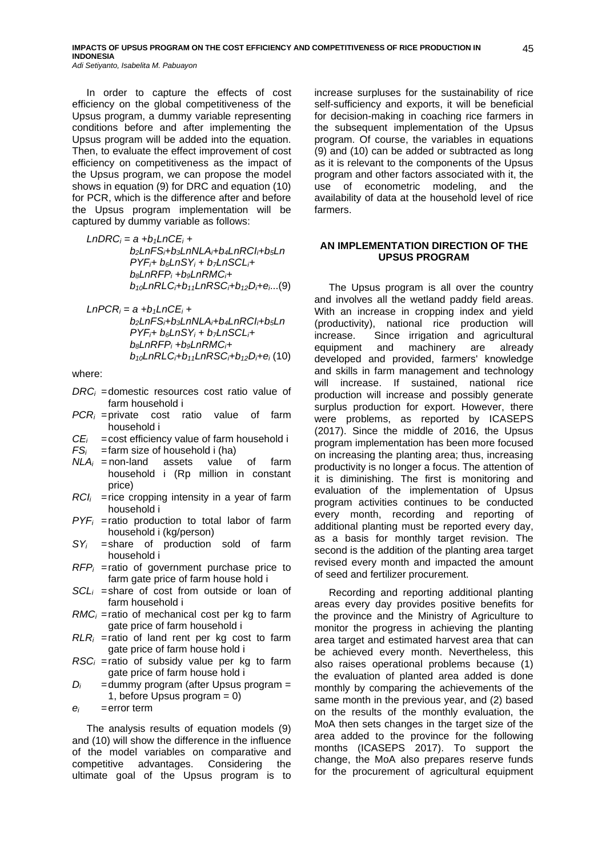In order to capture the effects of cost efficiency on the global competitiveness of the Upsus program, a dummy variable representing conditions before and after implementing the Upsus program will be added into the equation. Then, to evaluate the effect improvement of cost efficiency on competitiveness as the impact of the Upsus program, we can propose the model shows in equation (9) for DRC and equation (10) for PCR, which is the difference after and before the Upsus program implementation will be captured by dummy variable as follows:

- *LnDRC<sup>i</sup> = a +b1LnCE<sup>i</sup> + b2LnFSi+b3LnNLAi+b4LnRCIi+b5Ln*  $PYF_i+ b_6LnSY_i+ b_7LnSCL_i+$ *b8LnRFP<sup>i</sup> +b9LnRMCi+ b10LnRLCi+b11LnRSCi+b12Di+ei*...(9)
- $LnPCR_i = a + b_1LnCE_i +$ *b2LnFSi+b3LnNLAi+b4LnRCIi+b5Ln PYFi+ b6LnSY<sup>i</sup> + b7LnSCLi+ b8LnRFP<sup>i</sup> +b9LnRMCi+ b10LnRLCi+b11LnRSCi+b12Di+e<sup>i</sup>* (10)

where:

- *DRC<sup>i</sup> =*domestic resources cost ratio value of farm household i
- *PCR<sup>i</sup> =*private cost ratio value of farm household i
- *CEi =*cost efficiency value of farm household i
- *FS<sup>i</sup> =*farm size of household i (ha)
- *NLA<sup>i</sup> =* non-land assets value of farm household i (Rp million in constant price)
- *RCI<sup>i</sup> =*rice cropping intensity in a year of farm household i
- *PYF<sup>i</sup> =*ratio production to total labor of farm household i (kg/person)
- *SY<sup>i</sup> =*share of production sold of farm household i
- *RFP<sup>i</sup> =*ratio of government purchase price to farm gate price of farm house hold i
- *SCL<sup>i</sup> =*share of cost from outside or loan of farm household i
- *RMC<sup>i</sup> =*ratio of mechanical cost per kg to farm gate price of farm household i
- $RLR_i$  =ratio of land rent per kg cost to farm gate price of farm house hold i
- *RSC<sup>i</sup> =*ratio of subsidy value per kg to farm gate price of farm house hold i
- *D<sup>i</sup> =*dummy program (after Upsus program = 1, before Upsus program  $= 0$ )
- *ei =*error term

The analysis results of equation models (9) and (10) will show the difference in the influence of the model variables on comparative and competitive advantages. Considering the ultimate goal of the Upsus program is to increase surpluses for the sustainability of rice self-sufficiency and exports, it will be beneficial for decision-making in coaching rice farmers in the subsequent implementation of the Upsus program. Of course, the variables in equations (9) and (10) can be added or subtracted as long as it is relevant to the components of the Upsus program and other factors associated with it, the use of econometric modeling, and the availability of data at the household level of rice farmers.

### **AN IMPLEMENTATION DIRECTION OF THE UPSUS PROGRAM**

The Upsus program is all over the country and involves all the wetland paddy field areas. With an increase in cropping index and yield (productivity), national rice production will increase. Since irrigation and agricultural equipment and machinery are already developed and provided, farmers' knowledge and skills in farm management and technology will increase. If sustained, national rice production will increase and possibly generate surplus production for export. However, there were problems, as reported by ICASEPS (2017). Since the middle of 2016, the Upsus program implementation has been more focused on increasing the planting area; thus, increasing productivity is no longer a focus. The attention of it is diminishing. The first is monitoring and evaluation of the implementation of Upsus program activities continues to be conducted every month, recording and reporting of additional planting must be reported every day, as a basis for monthly target revision. The second is the addition of the planting area target revised every month and impacted the amount of seed and fertilizer procurement.

Recording and reporting additional planting areas every day provides positive benefits for the province and the Ministry of Agriculture to monitor the progress in achieving the planting area target and estimated harvest area that can be achieved every month. Nevertheless, this also raises operational problems because (1) the evaluation of planted area added is done monthly by comparing the achievements of the same month in the previous year, and (2) based on the results of the monthly evaluation, the MoA then sets changes in the target size of the area added to the province for the following months (ICASEPS 2017). To support the change, the MoA also prepares reserve funds for the procurement of agricultural equipment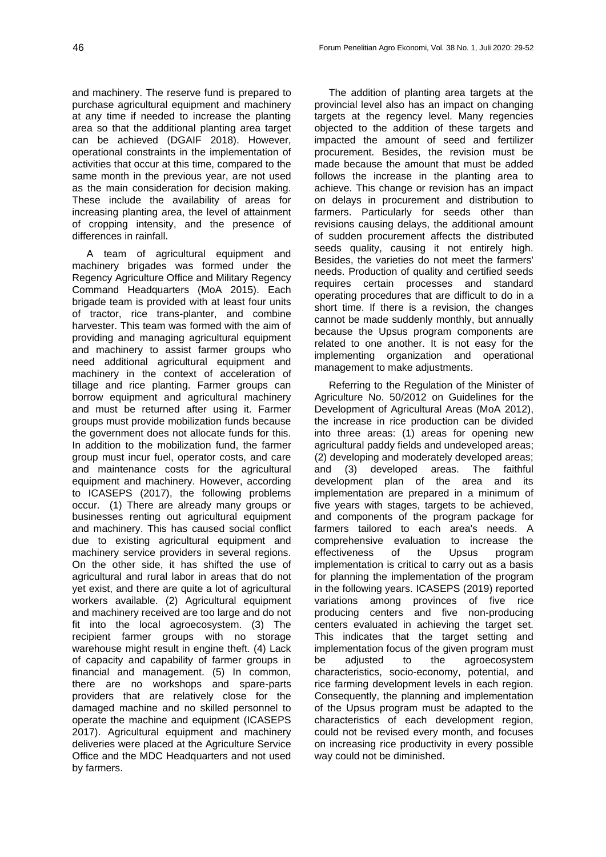and machinery. The reserve fund is prepared to purchase agricultural equipment and machinery at any time if needed to increase the planting area so that the additional planting area target can be achieved (DGAIF 2018). However, operational constraints in the implementation of activities that occur at this time, compared to the same month in the previous year, are not used as the main consideration for decision making. These include the availability of areas for increasing planting area, the level of attainment of cropping intensity, and the presence of differences in rainfall.

A team of agricultural equipment and machinery brigades was formed under the Regency Agriculture Office and Military Regency Command Headquarters (MoA 2015). Each brigade team is provided with at least four units of tractor, rice trans-planter, and combine harvester. This team was formed with the aim of providing and managing agricultural equipment and machinery to assist farmer groups who need additional agricultural equipment and machinery in the context of acceleration of tillage and rice planting. Farmer groups can borrow equipment and agricultural machinery and must be returned after using it. Farmer groups must provide mobilization funds because the government does not allocate funds for this. In addition to the mobilization fund, the farmer group must incur fuel, operator costs, and care and maintenance costs for the agricultural equipment and machinery. However, according to ICASEPS (2017), the following problems occur. (1) There are already many groups or businesses renting out agricultural equipment and machinery. This has caused social conflict due to existing agricultural equipment and machinery service providers in several regions. On the other side, it has shifted the use of agricultural and rural labor in areas that do not yet exist, and there are quite a lot of agricultural workers available. (2) Agricultural equipment and machinery received are too large and do not fit into the local agroecosystem. (3) The recipient farmer groups with no storage warehouse might result in engine theft. (4) Lack of capacity and capability of farmer groups in financial and management. (5) In common, there are no workshops and spare-parts providers that are relatively close for the damaged machine and no skilled personnel to operate the machine and equipment (ICASEPS 2017). Agricultural equipment and machinery deliveries were placed at the Agriculture Service Office and the MDC Headquarters and not used by farmers.

The addition of planting area targets at the provincial level also has an impact on changing targets at the regency level. Many regencies objected to the addition of these targets and impacted the amount of seed and fertilizer procurement. Besides, the revision must be made because the amount that must be added follows the increase in the planting area to achieve. This change or revision has an impact on delays in procurement and distribution to farmers. Particularly for seeds other than revisions causing delays, the additional amount of sudden procurement affects the distributed seeds quality, causing it not entirely high. Besides, the varieties do not meet the farmers' needs. Production of quality and certified seeds requires certain processes and standard operating procedures that are difficult to do in a short time. If there is a revision, the changes cannot be made suddenly monthly, but annually because the Upsus program components are related to one another. It is not easy for the implementing organization and operational management to make adjustments.

Referring to the Regulation of the Minister of Agriculture No. 50/2012 on Guidelines for the Development of Agricultural Areas (MoA 2012), the increase in rice production can be divided into three areas: (1) areas for opening new agricultural paddy fields and undeveloped areas; (2) developing and moderately developed areas; and (3) developed areas. The faithful development plan of the area and its implementation are prepared in a minimum of five years with stages, targets to be achieved, and components of the program package for farmers tailored to each area's needs. A comprehensive evaluation to increase the effectiveness of the Upsus program implementation is critical to carry out as a basis for planning the implementation of the program in the following years. ICASEPS (2019) reported variations among provinces of five rice producing centers and five non-producing centers evaluated in achieving the target set. This indicates that the target setting and implementation focus of the given program must be adjusted to the agroecosystem characteristics, socio-economy, potential, and rice farming development levels in each region. Consequently, the planning and implementation of the Upsus program must be adapted to the characteristics of each development region, could not be revised every month, and focuses on increasing rice productivity in every possible way could not be diminished.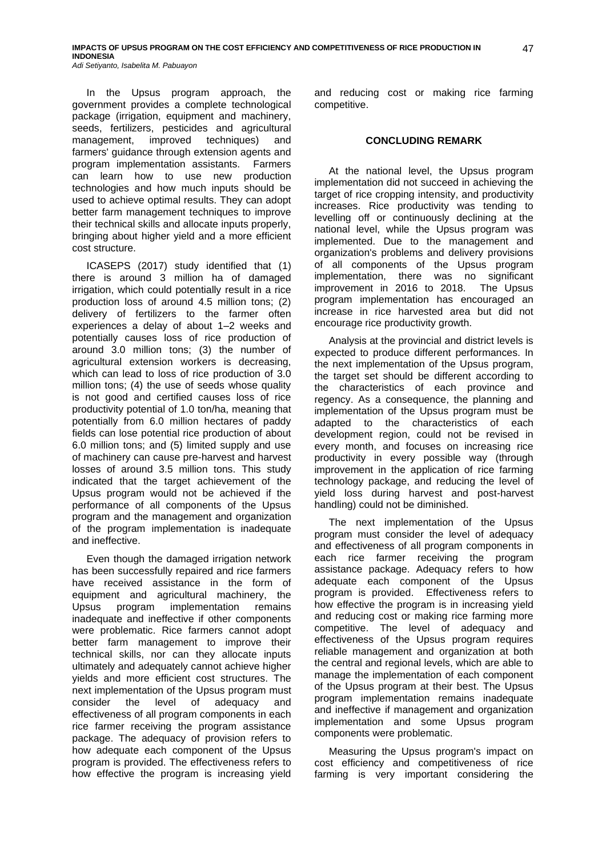In the Upsus program approach, the government provides a complete technological package (irrigation, equipment and machinery, seeds, fertilizers, pesticides and agricultural management, improved techniques) and farmers' guidance through extension agents and program implementation assistants. Farmers can learn how to use new production technologies and how much inputs should be used to achieve optimal results. They can adopt better farm management techniques to improve their technical skills and allocate inputs properly, bringing about higher yield and a more efficient cost structure.

ICASEPS (2017) study identified that (1) there is around 3 million ha of damaged irrigation, which could potentially result in a rice production loss of around 4.5 million tons; (2) delivery of fertilizers to the farmer often experiences a delay of about 1-2 weeks and potentially causes loss of rice production of around 3.0 million tons; (3) the number of agricultural extension workers is decreasing, which can lead to loss of rice production of 3.0 million tons; (4) the use of seeds whose quality is not good and certified causes loss of rice productivity potential of 1.0 ton/ha, meaning that potentially from 6.0 million hectares of paddy fields can lose potential rice production of about 6.0 million tons; and (5) limited supply and use of machinery can cause pre-harvest and harvest losses of around 3.5 million tons. This study indicated that the target achievement of the Upsus program would not be achieved if the performance of all components of the Upsus program and the management and organization of the program implementation is inadequate and ineffective.

Even though the damaged irrigation network has been successfully repaired and rice farmers have received assistance in the form of equipment and agricultural machinery, the Upsus program implementation remains inadequate and ineffective if other components were problematic. Rice farmers cannot adopt better farm management to improve their technical skills, nor can they allocate inputs ultimately and adequately cannot achieve higher yields and more efficient cost structures. The next implementation of the Upsus program must consider the level of adequacy and effectiveness of all program components in each rice farmer receiving the program assistance package. The adequacy of provision refers to how adequate each component of the Upsus program is provided. The effectiveness refers to how effective the program is increasing yield and reducing cost or making rice farming competitive.

### **CONCLUDING REMARK**

At the national level, the Upsus program implementation did not succeed in achieving the target of rice cropping intensity, and productivity increases. Rice productivity was tending to levelling off or continuously declining at the national level, while the Upsus program was implemented. Due to the management and organization's problems and delivery provisions of all components of the Upsus program implementation, there was no significant improvement in 2016 to 2018. The Upsus program implementation has encouraged an increase in rice harvested area but did not encourage rice productivity growth.

Analysis at the provincial and district levels is expected to produce different performances. In the next implementation of the Upsus program, the target set should be different according to the characteristics of each province and regency. As a consequence, the planning and implementation of the Upsus program must be adapted to the characteristics of each development region, could not be revised in every month, and focuses on increasing rice productivity in every possible way (through improvement in the application of rice farming technology package, and reducing the level of yield loss during harvest and post-harvest handling) could not be diminished.

The next implementation of the Upsus program must consider the level of adequacy and effectiveness of all program components in each rice farmer receiving the program assistance package. Adequacy refers to how adequate each component of the Upsus program is provided. Effectiveness refers to how effective the program is in increasing yield and reducing cost or making rice farming more competitive. The level of adequacy and effectiveness of the Upsus program requires reliable management and organization at both the central and regional levels, which are able to manage the implementation of each component of the Upsus program at their best. The Upsus program implementation remains inadequate and ineffective if management and organization implementation and some Upsus program components were problematic.

Measuring the Upsus program's impact on cost efficiency and competitiveness of rice farming is very important considering the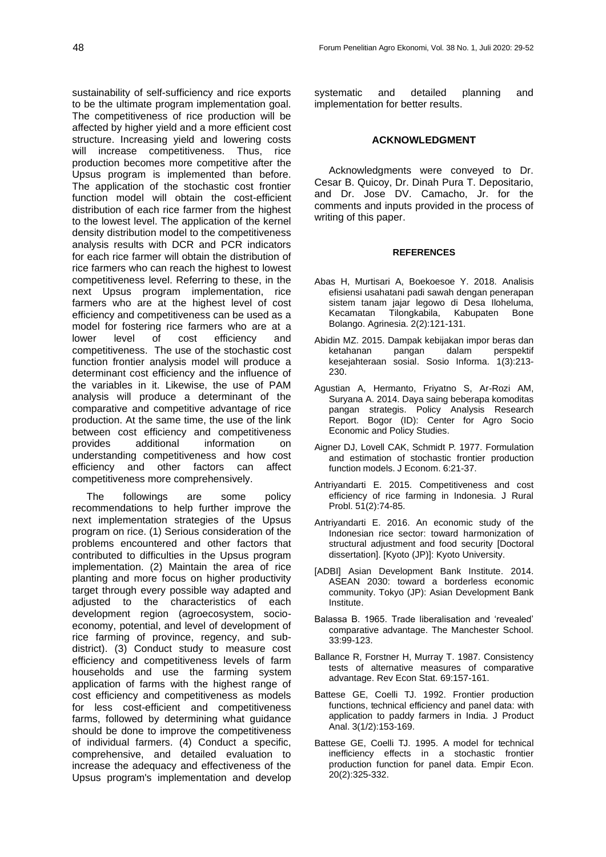sustainability of self-sufficiency and rice exports to be the ultimate program implementation goal. The competitiveness of rice production will be affected by higher yield and a more efficient cost structure. Increasing yield and lowering costs will increase competitiveness. Thus, rice production becomes more competitive after the Upsus program is implemented than before. The application of the stochastic cost frontier function model will obtain the cost-efficient distribution of each rice farmer from the highest to the lowest level. The application of the kernel density distribution model to the competitiveness analysis results with DCR and PCR indicators for each rice farmer will obtain the distribution of rice farmers who can reach the highest to lowest competitiveness level. Referring to these, in the next Upsus program implementation, rice farmers who are at the highest level of cost efficiency and competitiveness can be used as a model for fostering rice farmers who are at a lower level of cost efficiency and competitiveness. The use of the stochastic cost function frontier analysis model will produce a determinant cost efficiency and the influence of the variables in it. Likewise, the use of PAM analysis will produce a determinant of the comparative and competitive advantage of rice production. At the same time, the use of the link between cost efficiency and competitiveness provides additional information on understanding competitiveness and how cost efficiency and other factors can affect competitiveness more comprehensively.

The followings are some policy recommendations to help further improve the next implementation strategies of the Upsus program on rice. (1) Serious consideration of the problems encountered and other factors that contributed to difficulties in the Upsus program implementation. (2) Maintain the area of rice planting and more focus on higher productivity target through every possible way adapted and adjusted to the characteristics of each development region (agroecosystem, socioeconomy, potential, and level of development of rice farming of province, regency, and subdistrict). (3) Conduct study to measure cost efficiency and competitiveness levels of farm households and use the farming system application of farms with the highest range of cost efficiency and competitiveness as models for less cost-efficient and competitiveness farms, followed by determining what guidance should be done to improve the competitiveness of individual farmers. (4) Conduct a specific, comprehensive, and detailed evaluation to increase the adequacy and effectiveness of the Upsus program's implementation and develop systematic and detailed planning and implementation for better results.

### **ACKNOWLEDGMENT**

Acknowledgments were conveyed to Dr. Cesar B. Quicoy, Dr. Dinah Pura T. Depositario, and Dr. Jose DV. Camacho, Jr. for the comments and inputs provided in the process of writing of this paper.

### **REFERENCES**

- Abas H, Murtisari A, Boekoesoe Y. 2018. Analisis efisiensi usahatani padi sawah dengan penerapan sistem tanam jajar legowo di Desa Iloheluma, Kecamatan Tilongkabila, Kabupaten Bone Bolango. Agrinesia. 2(2):121-131.
- Abidin MZ. 2015. Dampak kebijakan impor beras dan ketahanan pangan dalam perspektif kesejahteraan sosial. Sosio Informa. 1(3):213- 230.
- Agustian A, Hermanto, Friyatno S, Ar-Rozi AM, Suryana A. 2014. Daya saing beberapa komoditas pangan strategis. Policy Analysis Research Report. Bogor (ID): Center for Agro Socio Economic and Policy Studies.
- Aigner DJ, Lovell CAK, Schmidt P. 1977. Formulation and estimation of stochastic frontier production function models. J Econom. 6:21-37.
- Antriyandarti E. 2015. Competitiveness and cost efficiency of rice farming in Indonesia. J Rural Probl. 51(2):74-85.
- Antriyandarti E. 2016. An economic study of the Indonesian rice sector: toward harmonization of structural adjustment and food security [Doctoral dissertation]. [Kyoto (JP)]: Kyoto University.
- [ADBI] Asian Development Bank Institute. 2014. ASEAN 2030: toward a borderless economic community. Tokyo (JP): Asian Development Bank Institute.
- Balassa B. 1965. Trade liberalisation and 'revealed' comparative advantage. The Manchester School. 33:99-123.
- Ballance R, Forstner H, Murray T. 1987. Consistency tests of alternative measures of comparative advantage. Rev Econ Stat. 69:157-161.
- Battese GE, Coelli TJ. 1992. Frontier production functions, technical efficiency and panel data: with application to paddy farmers in India. J Product Anal. 3(1/2):153-169.
- Battese GE, Coelli TJ. 1995. A model for technical inefficiency effects in a stochastic frontier production function for panel data. Empir Econ. 20(2):325-332.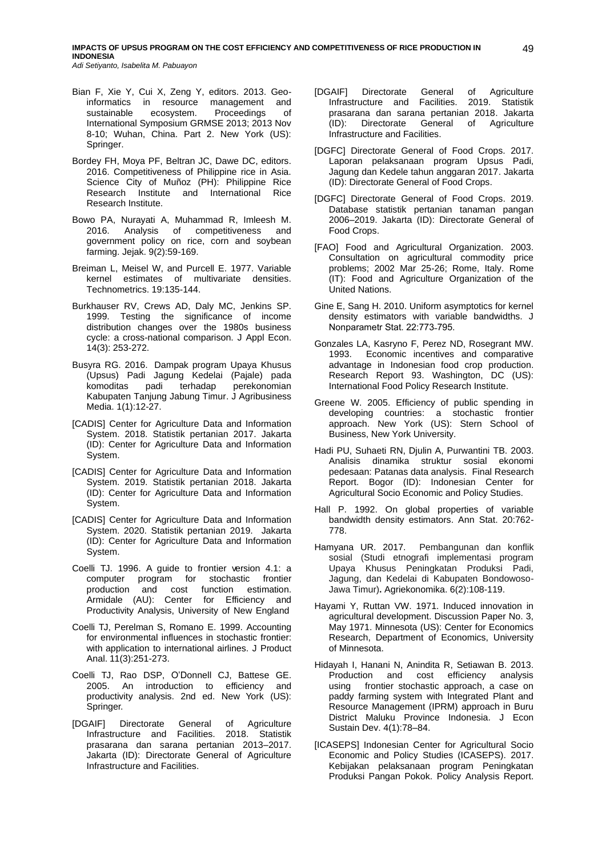- Bian F, Xie Y, Cui X, Zeng Y, editors. 2013. Geoinformatics in resource management and sustainable ecosystem. Proceedings of International Symposium GRMSE 2013; 2013 Nov 8-10; Wuhan, China. Part 2. New York (US): Springer.
- Bordey FH, Moya PF, Beltran JC, Dawe DC, editors. 2016. Competitiveness of Philippine rice in Asia. Science City of Muñoz (PH): Philippine Rice Research Institute and International Rice Research Institute.
- Bowo PA, Nurayati A, Muhammad R, Imleesh M. 2016. Analysis of competitiveness and government policy on rice, corn and soybean farming. Jejak. 9(2):59-169.
- Breiman L, Meisel W, and Purcell E. 1977. Variable kernel estimates of multivariate densities. Technometrics. 19:135-144.
- Burkhauser RV, Crews AD, Daly MC, Jenkins SP. 1999. Testing the significance of income distribution changes over the 1980s business cycle: a cross-national comparison. J Appl Econ. 14(3): 253-272.
- Busyra RG. 2016. Dampak program Upaya Khusus (Upsus) Padi Jagung Kedelai (Pajale) pada komoditas padi terhadap perekonomian Kabupaten Tanjung Jabung Timur. J Agribusiness Media. 1(1):12-27.
- [CADIS] Center for Agriculture Data and Information System. 2018. Statistik pertanian 2017. Jakarta (ID): Center for Agriculture Data and Information System.
- [CADIS] Center for Agriculture Data and Information System. 2019. Statistik pertanian 2018. Jakarta (ID): Center for Agriculture Data and Information System.
- [CADIS] Center for Agriculture Data and Information System. 2020. Statistik pertanian 2019. Jakarta (ID): Center for Agriculture Data and Information System.
- Coelli TJ. 1996. A guide to frontier version 4.1: a computer program for stochastic frontier production and cost function estimation. Armidale (AU): Center for Efficiency and Productivity Analysis, University of New England
- Coelli TJ, Perelman S, Romano E. 1999. Accounting for environmental influences in stochastic frontier: with application to international airlines. J Product Anal. 11(3):251-273.
- Coelli TJ, Rao DSP, O'Donnell CJ, Battese GE. 2005. An introduction to efficiency and productivity analysis. 2nd ed. New York (US): Springer.
- [DGAIF] Directorate General of Agriculture Infrastructure and Facilities. 2018. Statistik prasarana dan sarana pertanian 2013-2017. Jakarta (ID): Directorate General of Agriculture Infrastructure and Facilities.
- [DGAIF] Directorate General of Agriculture Infrastructure and Facilities. 2019. Statistik Infrastructure and Facilities. 2019. Statistik<br>prasarana dan sarana pertanian 2018. Jakarta (ID): Directorate General of Agriculture Infrastructure and Facilities.
- [DGFC] Directorate General of Food Crops. 2017. Laporan pelaksanaan program Upsus Padi, Jagung dan Kedele tahun anggaran 2017. Jakarta (ID): Directorate General of Food Crops.
- [DGFC] Directorate General of Food Crops. 2019. Database statistik pertanian tanaman pangan 2006‒2019. Jakarta (ID): Directorate General of Food Crops.
- [FAO] Food and Agricultural Organization. 2003. Consultation on agricultural commodity price problems; 2002 Mar 25-26; Rome, Italy. Rome (IT): Food and Agriculture Organization of the United Nations.
- Gine E, Sang H. 2010. Uniform asymptotics for kernel density estimators with variable bandwidths. J Nonparametr Stat. 22:773-795.
- Gonzales LA, Kasryno F, Perez ND, Rosegrant MW. 1993. Economic incentives and comparative advantage in Indonesian food crop production. Research Report 93. Washington, DC (US): International Food Policy Research Institute.
- Greene W. 2005. Efficiency of public spending in developing countries: a stochastic frontier approach. New York (US): Stern School of Business, New York University.
- Hadi PU, Suhaeti RN, Djulin A, Purwantini TB. 2003. Analisis dinamika struktur sosial ekonomi pedesaan: Patanas data analysis. Final Research Report. Bogor (ID): Indonesian Center for Agricultural Socio Economic and Policy Studies.
- Hall P. 1992. On global properties of variable bandwidth density estimators. Ann Stat. 20:762- 778.
- Hamyana UR. 2017. Pembangunan dan konflik sosial (Studi etnografi implementasi program Upaya Khusus Peningkatan Produksi Padi, Jagung, dan Kedelai di Kabupaten Bondowoso-Jawa Timur)**.** Agriekonomika. 6(2):108-119.
- Hayami Y, Ruttan VW. 1971. Induced innovation in agricultural development. Discussion Paper No. 3, May 1971. Minnesota (US): Center for Economics Research, Department of Economics, University of Minnesota.
- Hidayah I, Hanani N, Anindita R, Setiawan B. 2013. Production and cost efficiency analysis using frontier stochastic approach, a case on paddy farming system with Integrated Plant and Resource Management (IPRM) approach in Buru District Maluku Province Indonesia. J Econ Sustain Dev. 4(1):78–84.
- [ICASEPS] Indonesian Center for Agricultural Socio Economic and Policy Studies (ICASEPS). 2017. Kebijakan pelaksanaan program Peningkatan Produksi Pangan Pokok. Policy Analysis Report.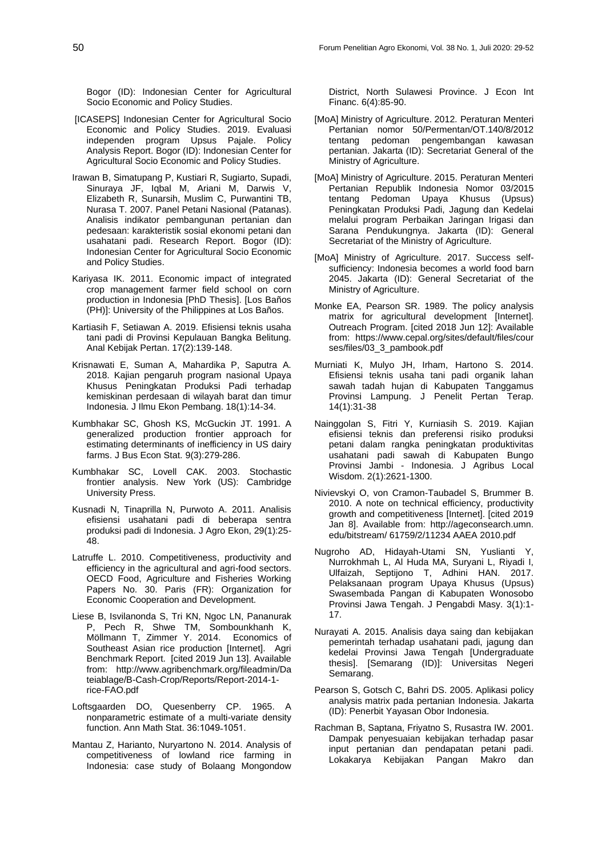Bogor (ID): Indonesian Center for Agricultural Socio Economic and Policy Studies.

- [ICASEPS] Indonesian Center for Agricultural Socio Economic and Policy Studies. 2019. Evaluasi independen program Upsus Pajale. Policy Analysis Report. Bogor (ID): Indonesian Center for Agricultural Socio Economic and Policy Studies.
- Irawan B, Simatupang P, Kustiari R, Sugiarto, Supadi, Sinuraya JF, Iqbal M, Ariani M, Darwis V, Elizabeth R, Sunarsih, Muslim C, Purwantini TB, Nurasa T. 2007. Panel Petani Nasional (Patanas). Analisis indikator pembangunan pertanian dan pedesaan: karakteristik sosial ekonomi petani dan usahatani padi. Research Report. Bogor (ID): Indonesian Center for Agricultural Socio Economic and Policy Studies.
- Kariyasa IK. 2011. Economic impact of integrated crop management farmer field school on corn production in Indonesia [PhD Thesis]. [Los Baños (PH)]: University of the Philippines at Los Baños.
- Kartiasih F, Setiawan A. 2019. Efisiensi teknis usaha tani padi di Provinsi Kepulauan Bangka Belitung. Anal Kebijak Pertan. 17(2):139-148.
- Krisnawati E, Suman A, Mahardika P, Saputra A. 2018. Kajian pengaruh program nasional Upaya Khusus Peningkatan Produksi Padi terhadap kemiskinan perdesaan di wilayah barat dan timur Indonesia. J Ilmu Ekon Pembang. 18(1):14-34.
- Kumbhakar SC, Ghosh KS, McGuckin JT. 1991. A generalized production frontier approach for estimating determinants of inefficiency in US dairy farms. J Bus Econ Stat. 9(3):279-286.
- Kumbhakar SC, Lovell CAK. 2003. Stochastic frontier analysis. New York (US): Cambridge University Press.
- Kusnadi N, Tinaprilla N, Purwoto A. 2011. Analisis efisiensi usahatani padi di beberapa sentra produksi padi di Indonesia. J Agro Ekon, 29(1):25- 48.
- Latruffe L. 2010. Competitiveness, productivity and efficiency in the agricultural and agri-food sectors. OECD Food, Agriculture and Fisheries Working Papers No. 30. Paris (FR): Organization for Economic Cooperation and Development.
- Liese B, Isvilanonda S, Tri KN, Ngoc LN, Pananurak P, Pech R, Shwe TM, Sombounkhanh K, Möllmann T, Zimmer Y. 2014. Economics of Southeast Asian rice production [Internet]. Agri Benchmark Report. [cited 2019 Jun 13]. Available from: [http://www.agribenchmark.org/fileadmin/Da](http://www.agribenchmark.org/fileadmin/Dateiablage/B-Cash-Crop/Reports/Report-2014-1-rice-FAO.pdf) [teiablage/B-Cash-Crop/Reports/Report-2014-1](http://www.agribenchmark.org/fileadmin/Dateiablage/B-Cash-Crop/Reports/Report-2014-1-rice-FAO.pdf) [rice-FAO.pdf](http://www.agribenchmark.org/fileadmin/Dateiablage/B-Cash-Crop/Reports/Report-2014-1-rice-FAO.pdf)
- Loftsgaarden DO, Quesenberry CP. 1965. A nonparametric estimate of a multi-variate density function. Ann Math Stat. 36:1049-1051.
- Mantau Z, Harianto, Nuryartono N. 2014. Analysis of competitiveness of lowland rice farming in Indonesia: case study of Bolaang Mongondow

District, North Sulawesi Province. J Econ Int Financ. 6(4):85-90.

- [MoA] Ministry of Agriculture. 2012*.* Peraturan Menteri Pertanian nomor 50/Permentan/OT.140/8/2012 tentang pedoman pengembangan kawasan pertanian. Jakarta (ID): Secretariat General of the Ministry of Agriculture.
- [MoA] Ministry of Agriculture. 2015. Peraturan Menteri Pertanian Republik Indonesia Nomor 03/2015 tentang Pedoman Upaya Khusus (Upsus) Peningkatan Produksi Padi, Jagung dan Kedelai melalui program Perbaikan Jaringan Irigasi dan Sarana Pendukungnya. Jakarta (ID): General Secretariat of the Ministry of Agriculture.
- [MoA] Ministry of Agriculture. 2017. Success selfsufficiency: Indonesia becomes a world food barn 2045. Jakarta (ID): General Secretariat of the Ministry of Agriculture.
- Monke EA, Pearson SR. 1989. The policy analysis matrix for agricultural development [Internet]. Outreach Program. [cited 2018 Jun 12]: Available from: https://www.cepal.org/sites/default/files/cour ses/files/03\_3\_pambook.pdf
- Murniati K, Mulyo JH, Irham, Hartono S. 2014. Efisiensi teknis usaha tani padi organik lahan sawah tadah hujan di Kabupaten Tanggamus Provinsi Lampung. J Penelit Pertan Terap. 14(1):31-38
- Nainggolan S, Fitri Y, Kurniasih S. 2019. Kajian efisiensi teknis dan preferensi risiko produksi petani dalam rangka peningkatan produktivitas usahatani padi sawah di Kabupaten Bungo Provinsi Jambi - Indonesia. J Agribus Local Wisdom. 2(1):2621-1300.
- Nivievskyi O, von Cramon-Taubadel S, Brummer B. 2010. A note on technical efficiency, productivity growth and competitiveness [Internet]. [cited 2019 Jan 8]. Available from: [http://ageconsearch.umn.](http://ageconsearch.umn.edu/bitstream/%2061759/2/11234%20AAEA%202010.pdf) [edu/bitstream/ 61759/2/11234 AAEA 2010.pdf](http://ageconsearch.umn.edu/bitstream/%2061759/2/11234%20AAEA%202010.pdf)
- Nugroho AD, Hidayah-Utami SN, Yuslianti Y, Nurrokhmah L, Al Huda MA, Suryani L, Riyadi I, Ulfaizah, Septijono T, Adhini HAN. 2017. Pelaksanaan program Upaya Khusus (Upsus) Swasembada Pangan di Kabupaten Wonosobo Provinsi Jawa Tengah. J Pengabdi Masy. 3(1):1- 17.
- Nurayati A. 2015. Analisis daya saing dan kebijakan pemerintah terhadap usahatani padi, jagung dan kedelai Provinsi Jawa Tengah [Undergraduate thesis]. [Semarang (ID)]: Universitas Negeri Semarang.
- Pearson S, Gotsch C, Bahri DS. 2005. Aplikasi policy analysis matrix pada pertanian Indonesia. Jakarta (ID): Penerbit Yayasan Obor Indonesia.
- Rachman B, Saptana, Friyatno S, Rusastra IW. 2001. Dampak penyesuaian kebijakan terhadap pasar input pertanian dan pendapatan petani padi. Lokakarya Kebijakan Pangan Makro dan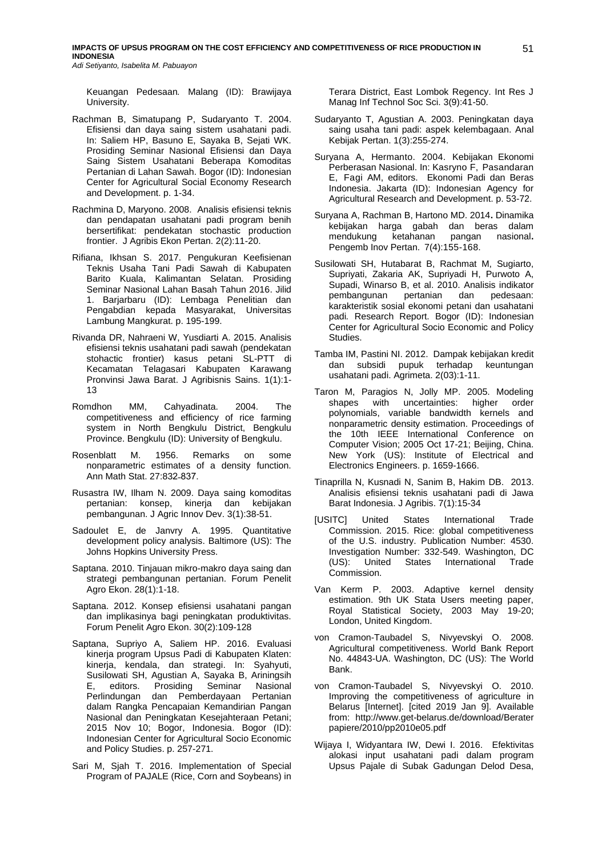Keuangan Pedesaan*.* Malang (ID): Brawijaya University.

- Rachman B, Simatupang P, Sudaryanto T. 2004. Efisiensi dan daya saing sistem usahatani padi. In: Saliem HP, Basuno E, Sayaka B, Sejati WK. Prosiding Seminar Nasional Efisiensi dan Daya Saing Sistem Usahatani Beberapa Komoditas Pertanian di Lahan Sawah. Bogor (ID): Indonesian Center for Agricultural Social Economy Research and Development. p. 1-34.
- Rachmina D, Maryono. 2008. Analisis efisiensi teknis dan pendapatan usahatani padi program benih bersertifikat: pendekatan stochastic production frontier. J Agribis Ekon Pertan. 2(2):11-20.
- Rifiana, Ikhsan S. 2017. Pengukuran Keefisienan Teknis Usaha Tani Padi Sawah di Kabupaten Barito Kuala, Kalimantan Selatan. Prosiding Seminar Nasional Lahan Basah Tahun 2016. Jilid 1. Barjarbaru (ID): Lembaga Penelitian dan Pengabdian kepada Masyarakat, Universitas Lambung Mangkurat. p. 195-199.
- Rivanda DR, Nahraeni W, Yusdiarti A. 2015. Analisis efisiensi teknis usahatani padi sawah (pendekatan stohactic frontier) kasus petani SL-PTT di Kecamatan Telagasari Kabupaten Karawang Pronvinsi Jawa Barat. J Agribisnis Sains. 1(1):1- 13
- Romdhon MM, Cahyadinata. 2004. The competitiveness and efficiency of rice farming system in North Bengkulu District, Bengkulu Province. Bengkulu (ID): University of Bengkulu.
- Rosenblatt M. 1956. Remarks on some nonparametric estimates of a density function. Ann Math Stat. 27:832-837.
- Rusastra IW, Ilham N. 2009. Daya saing komoditas pertanian: konsep, kinerja dan kebijakan pembangunan. J Agric Innov Dev. 3(1):38-51.
- Sadoulet E, de Janvry A. 1995. Quantitative development policy analysis. Baltimore (US): The Johns Hopkins University Press.
- Saptana. 2010. Tinjauan mikro-makro daya saing dan strategi pembangunan pertanian. Forum Penelit Agro Ekon. 28(1):1-18.
- Saptana. 2012. Konsep efisiensi usahatani pangan dan implikasinya bagi peningkatan produktivitas. Forum Penelit Agro Ekon. 30(2):109-128
- Saptana, Supriyo A, Saliem HP. 2016. Evaluasi kinerja program Upsus Padi di Kabupaten Klaten: kinerja, kendala, dan strategi. In: Syahyuti, Susilowati SH, Agustian A, Sayaka B, Ariningsih E, editors. Prosiding Seminar Nasional Perlindungan dan Pemberdayaan Pertanian dalam Rangka Pencapaian Kemandirian Pangan Nasional dan Peningkatan Kesejahteraan Petani; 2015 Nov 10; Bogor, Indonesia. Bogor (ID): Indonesian Center for Agricultural Socio Economic and Policy Studies. p. 257-271.
- Sari M, Sjah T. 2016. Implementation of Special Program of PAJALE (Rice, Corn and Soybeans) in

Terara District, East Lombok Regency. Int Res J Manag Inf Technol Soc Sci. 3(9):41-50.

- Sudaryanto T, Agustian A. 2003. Peningkatan daya saing usaha tani padi: aspek kelembagaan. Anal Kebijak Pertan. 1(3):255-274.
- Suryana A, Hermanto. 2004. Kebijakan Ekonomi Perberasan Nasional. In: Kasryno F, Pasandaran E, Fagi AM, editors. Ekonomi Padi dan Beras Indonesia. Jakarta (ID): Indonesian Agency for Agricultural Research and Development. p. 53-72.
- Suryana A, Rachman B, Hartono MD. 2014**.** Dinamika kebijakan harga gabah dan beras dalam mendukung ketahanan pangan nasional**.**  Pengemb Inov Pertan. 7(4):155-168.
- Susilowati SH, Hutabarat B, Rachmat M, Sugiarto, Supriyati, Zakaria AK, Supriyadi H, Purwoto A, Supadi, Winarso B, et al. 2010. Analisis indikator pembangunan pertanian dan pedesaan: karakteristik sosial ekonomi petani dan usahatani padi*.* Research Report. Bogor (ID): Indonesian Center for Agricultural Socio Economic and Policy Studies.
- Tamba IM, Pastini NI. 2012. Dampak kebijakan kredit dan subsidi pupuk terhadap keuntungan usahatani padi. Agrimeta. 2(03):1-11.
- Taron M, Paragios N, Jolly MP. 2005. Modeling shapes with uncertainties: higher order polynomials, variable bandwidth kernels and nonparametric density estimation. Proceedings of the 10th IEEE International Conference on Computer Vision; 2005 Oct 17-21; Beijing, China. New York (US): Institute of Electrical and Electronics Engineers. p. 1659-1666.
- Tinaprilla N, Kusnadi N, Sanim B, Hakim DB. 2013. Analisis efisiensi teknis usahatani padi di Jawa Barat Indonesia. J Agribis. 7(1):15-34
- [USITC] United States International Trade Commission. 2015. Rice: global competitiveness of the U.S. industry. Publication Number: 4530. Investigation Number: 332-549. Washington, DC (US): United States International Trade Commission.
- Van Kerm P. 2003. Adaptive kernel density estimation. 9th UK Stata Users meeting paper, Royal Statistical Society, 2003 May 19-20; London, United Kingdom.
- von Cramon-Taubadel S, Nivyevskyi O. 2008. Agricultural competitiveness. World Bank Report No. 44843-UA. Washington, DC (US): The World Bank.
- von Cramon-Taubadel S, Nivyevskyi O. 2010. Improving the competitiveness of agriculture in Belarus [Internet]. [cited 2019 Jan 9]. Available from: [http://www.get-belarus.de/download/Berater](http://www.get-belarus.de/download/%20Beraterpapiere/2010/pp2010e05.pdf) [papiere/2010/pp2010e05.pdf](http://www.get-belarus.de/download/%20Beraterpapiere/2010/pp2010e05.pdf)
- Wijaya I, Widyantara IW, Dewi I. 2016. Efektivitas alokasi input usahatani padi dalam program Upsus Pajale di Subak Gadungan Delod Desa,